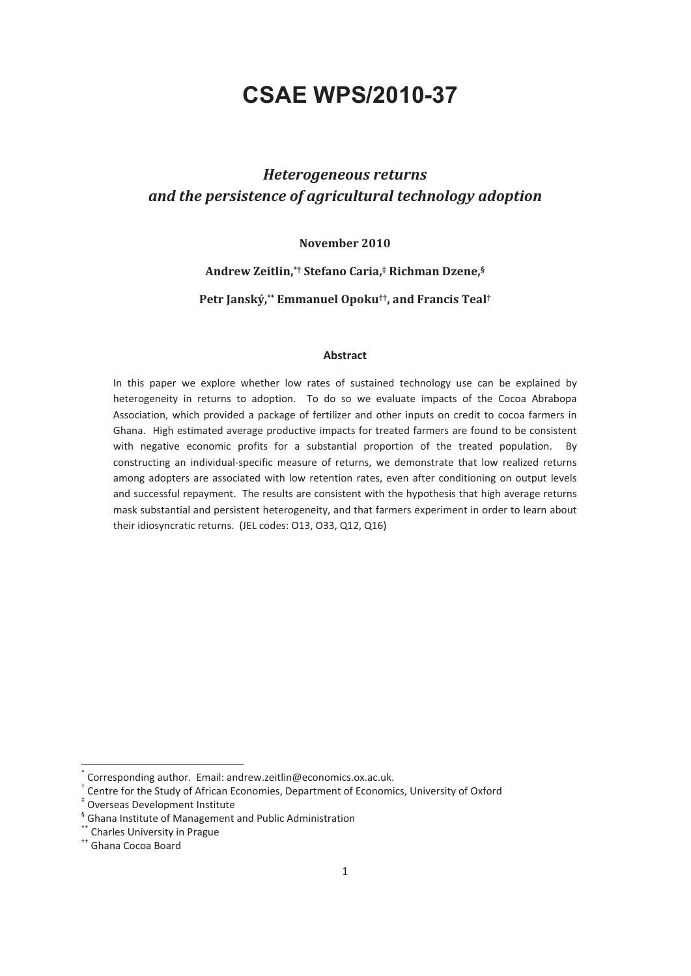# **CSAE WPS/2010-37**

## *Heterogeneous-returnsand-the-persistence-of-agricultural-technology-adoption-*

#### November 2010

#### **Andrew-Zeitlin,\*†-Stefano-Caria,‡-Richman-Dzene,§-**

#### **Petr-Janský,\*\*-Emmanuel-Opoku††,-and-Francis-Teal†-**

#### **Abstract-**

In this paper we explore whether low rates of sustained technology use can be explained by heterogeneity in returns to adoption. To do so we evaluate impacts of the Cocoa Abrabopa Association, which provided a package of fertilizer and other inputs on credit to cocoa farmers in Ghana. High estimated average productive impacts for treated farmers are found to be consistent with negative economic profits for a substantial proportion of the treated population. By constructing an individual-specific measure of returns, we demonstrate that low realized returns among adopters are associated with low retention rates, even after conditioning on output levels and successful repayment. The results are consistent with the hypothesis that high average returns mask substantial and persistent heterogeneity, and that farmers experiment in order to learn about their idiosyncratic returns. (JEL codes: O13, O33, Q12, Q16)

<sup>-</sup>----\* Corresponding author. Email: andrew.zeitlin@economics.ox.ac.uk.

<sup>&</sup>lt;sup>+</sup> Centre for the Study of African Economies, Department of Economics, University of Oxford

<sup>&</sup>lt;sup>\*</sup> Overseas Development Institute

<sup>&</sup>lt;sup>§</sup> Ghana Institute of Management and Public Administration

<sup>\*\*</sup> Charles University in Prague

<sup>&</sup>lt;sup>++</sup> Ghana Cocoa Board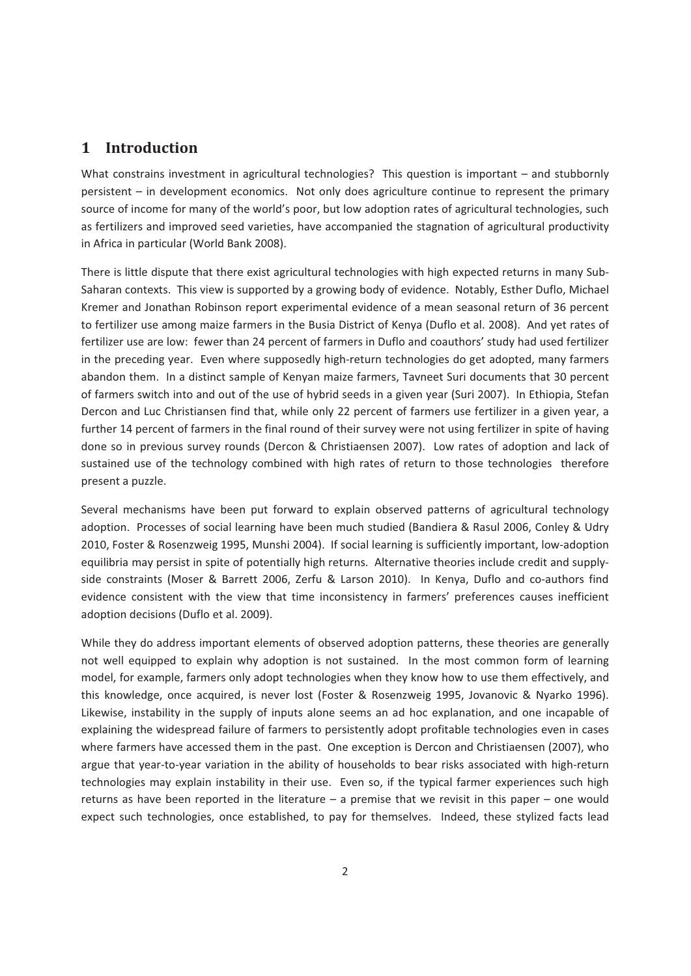### 1 Introduction

What constrains investment in agricultural technologies? This question is important - and stubbornly persistent - in development economics. Not only does agriculture continue to represent the primary source of income for many of the world's poor, but low adoption rates of agricultural technologies, such as fertilizers and improved seed varieties, have accompanied the stagnation of agricultural productivity in Africa in particular (World Bank 2008).

There is little dispute that there exist agricultural technologies with high expected returns in many Sub-Saharan contexts. This view is supported by a growing body of evidence. Notably, Esther Duflo, Michael Kremer and Jonathan Robinson report experimental evidence of a mean seasonal return of 36 percent to fertilizer use among maize farmers in the Busia District of Kenya (Duflo et al. 2008). And yet rates of fertilizer use are low: fewer than 24 percent of farmers in Duflo and coauthors' study had used fertilizer in the preceding year. Even where supposedly high-return technologies do get adopted, many farmers abandon them. In a distinct sample of Kenyan maize farmers, Tavneet Suri documents that 30 percent of farmers switch into and out of the use of hybrid seeds in a given year (Suri 2007). In Ethiopia, Stefan Dercon and Luc Christiansen find that, while only 22 percent of farmers use fertilizer in a given year, a further 14 percent of farmers in the final round of their survey were not using fertilizer in spite of having done so in previous survey rounds (Dercon & Christiaensen 2007). Low rates of adoption and lack of sustained use of the technology combined with high rates of return to those technologies therefore present a puzzle.

Several mechanisms have been put forward to explain observed patterns of agricultural technology adoption. Processes of social learning have been much studied (Bandiera & Rasul 2006, Conley & Udry 2010, Foster & Rosenzweig 1995, Munshi 2004). If social learning is sufficiently important, low-adoption equilibria may persist in spite of potentially high returns. Alternative theories include credit and supplyside constraints (Moser & Barrett 2006, Zerfu & Larson 2010). In Kenya, Duflo and co-authors find evidence consistent with the view that time inconsistency in farmers' preferences causes inefficient adoption decisions (Duflo et al. 2009).

While they do address important elements of observed adoption patterns, these theories are generally not well equipped to explain why adoption is not sustained. In the most common form of learning model, for example, farmers only adopt technologies when they know how to use them effectively, and this knowledge, once acquired, is never lost (Foster & Rosenzweig 1995, Jovanovic & Nyarko 1996). Likewise, instability in the supply of inputs alone seems an ad hoc explanation, and one incapable of explaining the widespread failure of farmers to persistently adopt profitable technologies even in cases where farmers have accessed them in the past. One exception is Dercon and Christiaensen (2007), who argue that year-to-year variation in the ability of households to bear risks associated with high-return technologies may explain instability in their use. Even so, if the typical farmer experiences such high returns as have been reported in the literature - a premise that we revisit in this paper - one would expect such technologies, once established, to pay for themselves. Indeed, these stylized facts lead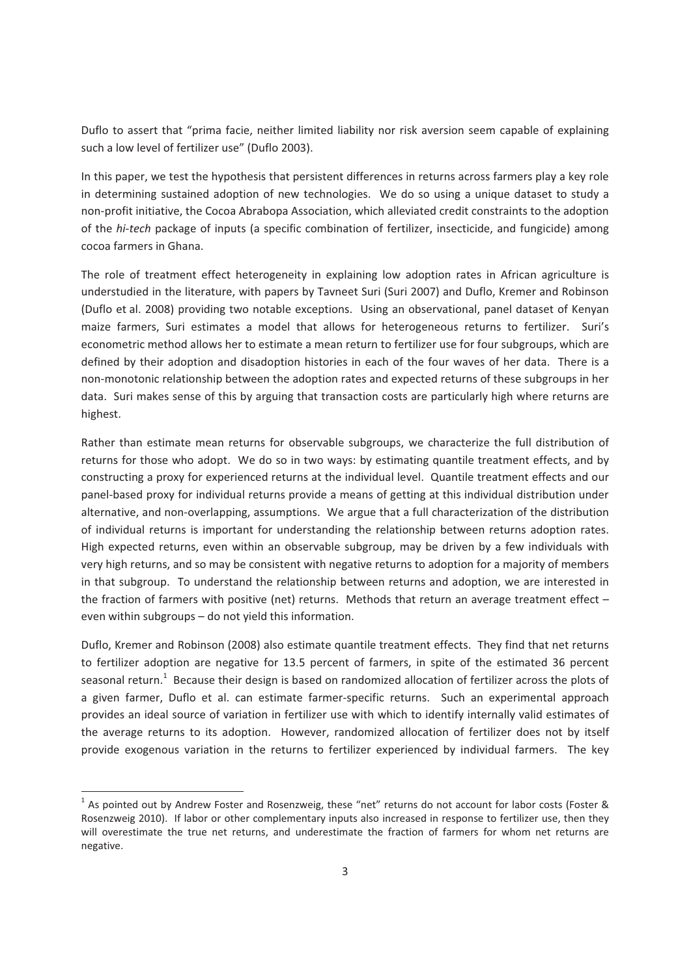Duflo to assert that "prima facie, neither limited liability nor risk aversion seem capable of explaining such a low level of fertilizer use" (Duflo 2003).

In this paper, we test the hypothesis that persistent differences in returns across farmers play a key role in determining sustained adoption of new technologies. We do so using a unique dataset to study a non-profit initiative, the Cocoa Abrabopa Association, which alleviated credit constraints to the adoption of the hi-tech package of inputs (a specific combination of fertilizer, insecticide, and fungicide) among cocoa farmers in Ghana.

The role of treatment effect heterogeneity in explaining low adoption rates in African agriculture is understudied in the literature, with papers by Tavneet Suri (Suri 2007) and Duflo, Kremer and Robinson (Duflo et al. 2008) providing two notable exceptions. Using an observational, panel dataset of Kenyan maize farmers, Suri estimates a model that allows for heterogeneous returns to fertilizer. Suri's econometric method allows her to estimate a mean return to fertilizer use for four subgroups, which are defined by their adoption and disadoption histories in each of the four waves of her data. There is a non-monotonic relationship between the adoption rates and expected returns of these subgroups in her data. Suri makes sense of this by arguing that transaction costs are particularly high where returns are highest.

Rather than estimate mean returns for observable subgroups, we characterize the full distribution of returns for those who adopt. We do so in two ways: by estimating quantile treatment effects, and by constructing a proxy for experienced returns at the individual level. Quantile treatment effects and our panel-based proxy for individual returns provide a means of getting at this individual distribution under alternative, and non-overlapping, assumptions. We argue that a full characterization of the distribution of individual returns is important for understanding the relationship between returns adoption rates. High expected returns, even within an observable subgroup, may be driven by a few individuals with very high returns, and so may be consistent with negative returns to adoption for a majority of members in that subgroup. To understand the relationship between returns and adoption, we are interested in the fraction of farmers with positive (net) returns. Methods that return an average treatment effect even within subgroups - do not yield this information.

Duflo, Kremer and Robinson (2008) also estimate quantile treatment effects. They find that net returns to fertilizer adoption are negative for 13.5 percent of farmers, in spite of the estimated 36 percent seasonal return.<sup>1</sup> Because their design is based on randomized allocation of fertilizer across the plots of a given farmer, Duflo et al. can estimate farmer-specific returns. Such an experimental approach provides an ideal source of variation in fertilizer use with which to identify internally valid estimates of the average returns to its adoption. However, randomized allocation of fertilizer does not by itself provide exogenous variation in the returns to fertilizer experienced by individual farmers. The key

<sup>&</sup>lt;sup>1</sup> As pointed out by Andrew Foster and Rosenzweig, these "net" returns do not account for labor costs (Foster & Rosenzweig 2010). If labor or other complementary inputs also increased in response to fertilizer use, then they will overestimate the true net returns, and underestimate the fraction of farmers for whom net returns are negative.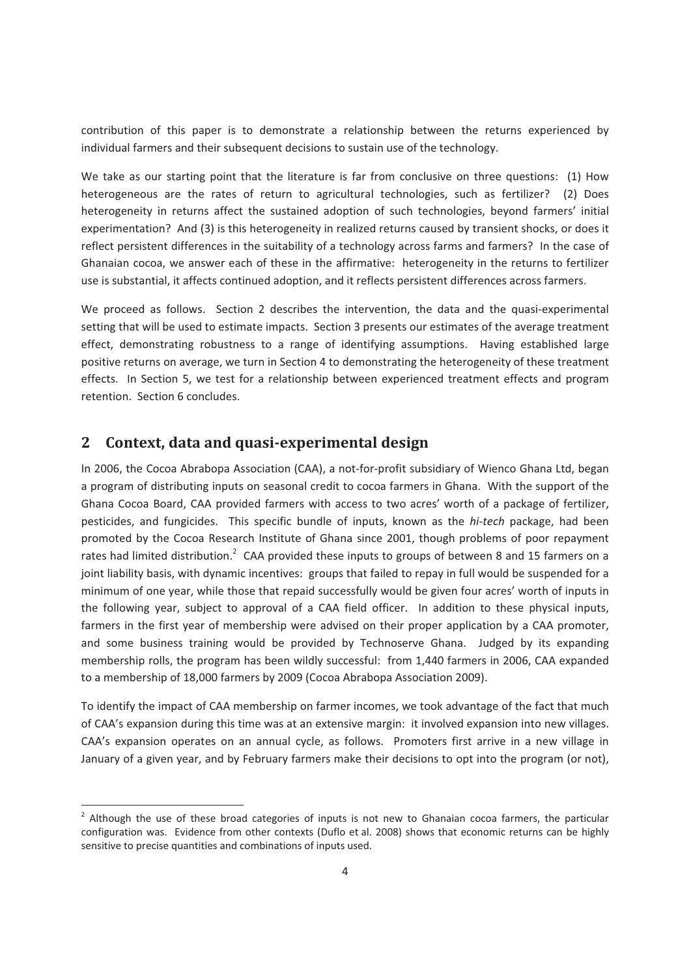contribution of this paper is to demonstrate a relationship between the returns experienced by individual farmers and their subsequent decisions to sustain use of the technology.

We take as our starting point that the literature is far from conclusive on three questions: (1) How heterogeneous are the rates of return to agricultural technologies, such as fertilizer? (2) Does heterogeneity in returns affect the sustained adoption of such technologies, beyond farmers' initial experimentation? And (3) is this heterogeneity in realized returns caused by transient shocks, or does it reflect persistent differences in the suitability of a technology across farms and farmers? In the case of Ghanaian cocoa, we answer each of these in the affirmative: heterogeneity in the returns to fertilizer use is substantial, it affects continued adoption, and it reflects persistent differences across farmers.

We proceed as follows. Section 2 describes the intervention, the data and the quasi-experimental setting that will be used to estimate impacts. Section 3 presents our estimates of the average treatment effect, demonstrating robustness to a range of identifying assumptions. Having established large positive returns on average, we turn in Section 4 to demonstrating the heterogeneity of these treatment effects. In Section 5, we test for a relationship between experienced treatment effects and program retention. Section 6 concludes.

### 2 Context, data and quasi-experimental design

-----------------------------------------------------------

In 2006, the Cocoa Abrabopa Association (CAA), a not-for-profit subsidiary of Wienco Ghana Ltd, began a program of distributing inputs on seasonal credit to cocoa farmers in Ghana. With the support of the Ghana Cocoa Board, CAA provided farmers with access to two acres' worth of a package of fertilizer, pesticides, and fungicides. This specific bundle of inputs, known as the hi-tech package, had been promoted by the Cocoa Research Institute of Ghana since 2001, though problems of poor repayment rates had limited distribution.<sup>2</sup> CAA provided these inputs to groups of between 8 and 15 farmers on a joint liability basis, with dynamic incentives: groups that failed to repay in full would be suspended for a minimum of one year, while those that repaid successfully would be given four acres' worth of inputs in the following year, subject to approval of a CAA field officer. In addition to these physical inputs, farmers in the first year of membership were advised on their proper application by a CAA promoter, and some business training would be provided by Technoserve Ghana. Judged by its expanding membership rolls, the program has been wildly successful: from 1,440 farmers in 2006, CAA expanded to a membership of 18,000 farmers by 2009 (Cocoa Abrabopa Association 2009).

To identify the impact of CAA membership on farmer incomes, we took advantage of the fact that much of CAA's expansion during this time was at an extensive margin: it involved expansion into new villages. CAA's expansion operates on an annual cycle, as follows. Promoters first arrive in a new village in January of a given year, and by February farmers make their decisions to opt into the program (or not),

<sup>&</sup>lt;sup>2</sup> Although the use of these broad categories of inputs is not new to Ghanaian cocoa farmers, the particular configuration was. Evidence from other contexts (Duflo et al. 2008) shows that economic returns can be highly sensitive to precise quantities and combinations of inputs used.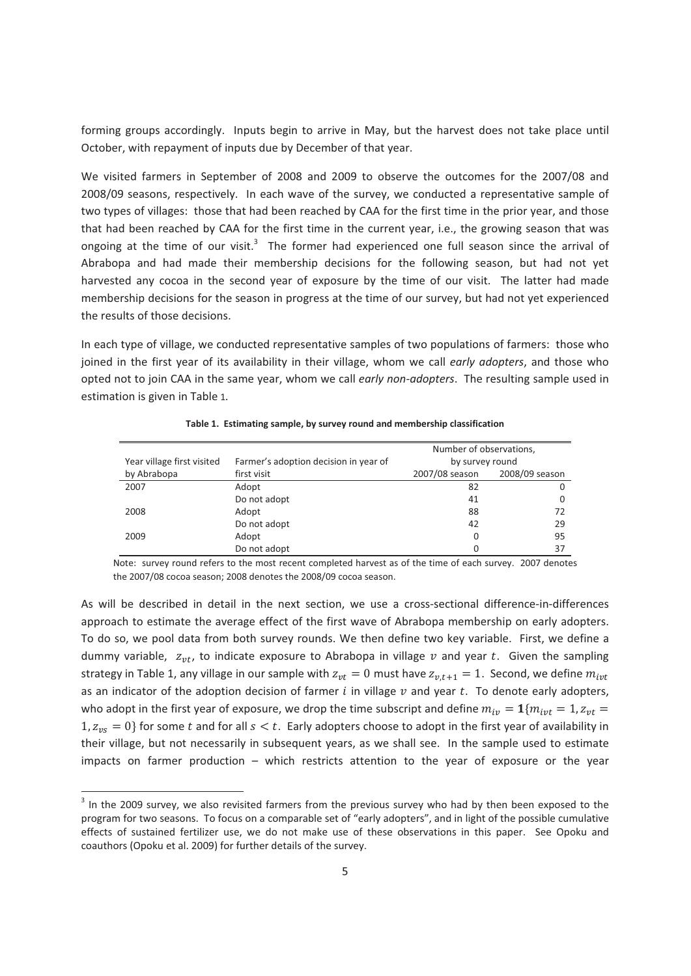forming groups accordingly. Inputs begin to arrive in May, but the harvest does not take place until October, with repayment of inputs due by December of that year.

We visited farmers in September of 2008 and 2009 to observe the outcomes for the 2007/08 and 2008/09 seasons, respectively. In each wave of the survey, we conducted a representative sample of two types of villages: those that had been reached by CAA for the first time in the prior year, and those that had been reached by CAA for the first time in the current year, i.e., the growing season that was ongoing at the time of our visit.<sup>3</sup> The former had experienced one full season since the arrival of Abrabopa and had made their membership decisions for the following season, but had not yet harvested any cocoa in the second year of exposure by the time of our visit. The latter had made membership decisions for the season in progress at the time of our survey, but had not yet experienced the results of those decisions.

In each type of village, we conducted representative samples of two populations of farmers: those who joined in the first year of its availability in their village, whom we call early adopters, and those who opted not to join CAA in the same year, whom we call early non-adopters. The resulting sample used in estimation is given in Table 1.

| Year village first visited | Farmer's adoption decision in year of | Number of observations,<br>by survey round |                |
|----------------------------|---------------------------------------|--------------------------------------------|----------------|
| by Abrabopa                | first visit                           | 2007/08 season                             | 2008/09 season |
| 2007                       | Adopt                                 | 82                                         |                |
|                            | Do not adopt                          | 41                                         |                |
| 2008                       | Adopt                                 | 88                                         | 72             |
|                            | Do not adopt                          | 42                                         | 29             |
| 2009                       | Adopt                                 |                                            | 95             |
|                            | Do not adopt                          |                                            | 37             |

**Table 1. Estimating sample, by survey round and membership classification** 

Note: survey round refers to the most recent completed harvest as of the time of each survey. 2007 denotes the 2007/08 cocoa season; 2008 denotes the 2008/09 cocoa season.

As will be described in detail in the next section, we use a cross-sectional difference-in-differences approach to estimate the average effect of the first wave of Abrabopa membership on early adopters. To do so, we pool data from both survey rounds. We then define two key variable. First, we define a dummy variable,  $z_{vt}$ , to indicate exposure to Abrabopa in village  $v$  and year  $t$ . Given the sampling strategy in Table 1, any village in our sample with  $z_{vt} = 0$  must have  $z_{v,t+1} = 1$ . Second, we define  $m_{ivt}$ as an indicator of the adoption decision of farmer  $i$  in village  $v$  and year  $t$ . To denote early adopters, who adopt in the first year of exposure, we drop the time subscript and define  $m_{iv} = \mathbf{1}\{m_{ivt} = 1, z_{vt} = 1\}$  $1, z_{\nu s} = 0$ } for some t and for all  $s < t$ . Early adopters choose to adopt in the first year of availability in their village, but not necessarily in subsequent years, as we shall see. In the sample used to estimate impacts on farmer production - which restricts attention to the year of exposure or the year

 $^3$  In the 2009 survey, we also revisited farmers from the previous survey who had by then been exposed to the program for two seasons. To focus on a comparable set of "early adopters", and in light of the possible cumulative effects of sustained fertilizer use, we do not make use of these observations in this paper. See Opoku and coauthors (Opoku et al. 2009) for further details of the survey.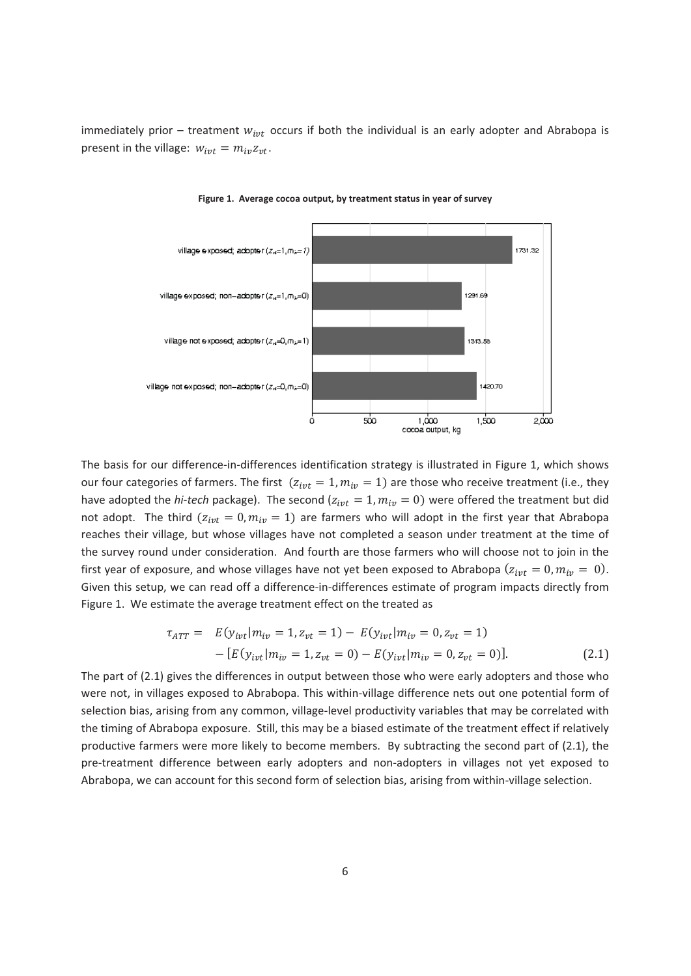immediately prior – treatment  $w_{ivt}$  occurs if both the individual is an early adopter and Abrabopa is present in the village:  $w_{ivt} = m_{iv}z_{vt}$ .



Figure 1. Average cocoa output, by treatment status in year of survey

The basis for our difference-in-differences identification strategy is illustrated in Figure 1, which shows our four categories of farmers. The first  $(z_{ivt} = 1, m_{iv} = 1)$  are those who receive treatment (i.e., they have adopted the *hi-tech* package). The second ( $z_{ivt} = 1, m_{iv} = 0$ ) were offered the treatment but did not adopt. The third  $(z_{ivt} = 0, m_{iv} = 1)$  are farmers who will adopt in the first year that Abrabopa reaches their village, but whose villages have not completed a season under treatment at the time of the survey round under consideration. And fourth are those farmers who will choose not to join in the first year of exposure, and whose villages have not yet been exposed to Abrabopa  $(z_{ivt} = 0, m_{iv} = 0)$ . Given this setup, we can read off a difference-in-differences estimate of program impacts directly from Figure 1. We estimate the average treatment effect on the treated as

$$
\tau_{ATT} = E(y_{ivt}|m_{iv} = 1, z_{vt} = 1) - E(y_{ivt}|m_{iv} = 0, z_{vt} = 1) - [E(y_{ivt}|m_{iv} = 1, z_{vt} = 0) - E(y_{ivt}|m_{iv} = 0, z_{vt} = 0)].
$$
\n(2.1)

The part of (2.1) gives the differences in output between those who were early adopters and those who were not, in villages exposed to Abrabopa. This within-village difference nets out one potential form of selection bias, arising from any common, village-level productivity variables that may be correlated with the timing of Abrabopa exposure. Still, this may be a biased estimate of the treatment effect if relatively productive farmers were more likely to become members. By subtracting the second part of (2.1), the pre-treatment difference between early adopters and non-adopters in villages not yet exposed to Abrabopa, we can account for this second form of selection bias, arising from within-village selection.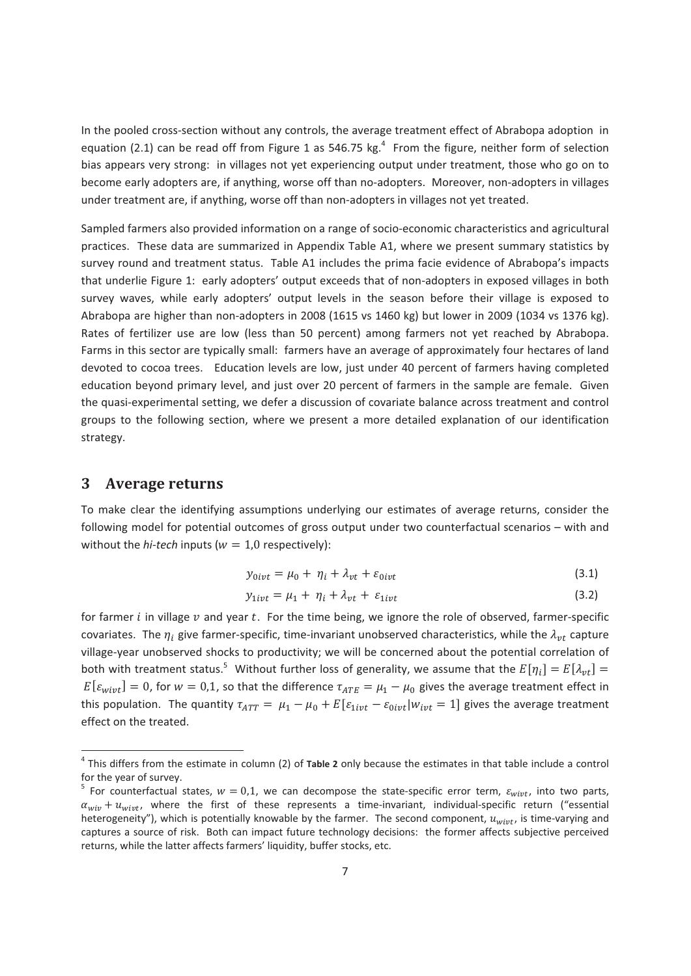In the pooled cross-section without any controls, the average treatment effect of Abrabopa adoption in equation (2.1) can be read off from Figure 1 as 546.75 kg.<sup>4</sup> From the figure, neither form of selection bias appears very strong: in villages not yet experiencing output under treatment, those who go on to become early adopters are, if anything, worse off than no-adopters. Moreover, non-adopters in villages under treatment are, if anything, worse off than non-adopters in villages not yet treated.

Sampled farmers also provided information on a range of socio-economic characteristics and agricultural practices. These data are summarized in Appendix Table A1, where we present summary statistics by survey round and treatment status. Table A1 includes the prima facie evidence of Abrabopa's impacts that underlie Figure 1: early adopters' output exceeds that of non-adopters in exposed villages in both survey waves, while early adopters' output levels in the season before their village is exposed to Abrabopa are higher than non-adopters in 2008 (1615 vs 1460 kg) but lower in 2009 (1034 vs 1376 kg). Rates of fertilizer use are low (less than 50 percent) among farmers not yet reached by Abrabopa. Farms in this sector are typically small: farmers have an average of approximately four hectares of land devoted to cocoa trees. Education levels are low, just under 40 percent of farmers having completed education beyond primary level, and just over 20 percent of farmers in the sample are female. Given the quasi-experimental setting, we defer a discussion of covariate balance across treatment and control groups to the following section, where we present a more detailed explanation of our identification strategy.

### **3** Average returns

-----------------------------------------------------------

To-make clear the identifying assumptions underlying our estimates of average returns, consider the following model for potential outcomes of gross output under two counterfactual scenarios - with and without the *hi-tech* inputs ( $w = 1,0$  respectively):

$$
y_{0ivt} = \mu_0 + \eta_i + \lambda_{vt} + \varepsilon_{0ivt}
$$
\n(3.1)

$$
y_{1ivt} = \mu_1 + \eta_i + \lambda_{vt} + \varepsilon_{1ivt}
$$
\n(3.2)

for farmer i in village  $v$  and year  $t$ . For the time being, we ignore the role of observed, farmer-specific covariates. The  $\eta_i$  give farmer-specific, time-invariant unobserved characteristics, while the  $\lambda_{vt}$  capture village-year unobserved shocks to productivity; we will be concerned about the potential correlation of both with treatment status.<sup>5</sup> Without further loss of generality, we assume that the  $E[\eta_i] = E[\lambda_{vt}] =$  $E[\varepsilon_{wivt}] = 0$ , for  $w = 0,1$ , so that the difference  $\tau_{ATE} = \mu_1 - \mu_0$  gives the average treatment effect in this population. The quantity  $\tau_{ATT} = \mu_1 - \mu_0 + E[\varepsilon_{1ivt} - \varepsilon_{0ivt} | w_{ivt} = 1]$  gives the average treatment effect on the treated.

<sup>&</sup>lt;sup>4</sup> This differs from the estimate in column (2) of Table 2 only because the estimates in that table include a control for the year of survey.

<sup>&</sup>lt;sup>5</sup> For counterfactual states,  $w = 0,1$ , we can decompose the state-specific error term,  $\varepsilon_{wivt}$ , into two parts,  $\alpha_{wiv} + u_{wivt}$ , where the first of these represents a time-invariant, individual-specific return ("essential heterogeneity"), which is potentially knowable by the farmer. The second component,  $u_{wivt}$ , is time-varying and captures a source of risk. Both can impact future technology decisions: the former affects subjective perceived returns, while the latter affects farmers' liquidity, buffer stocks, etc.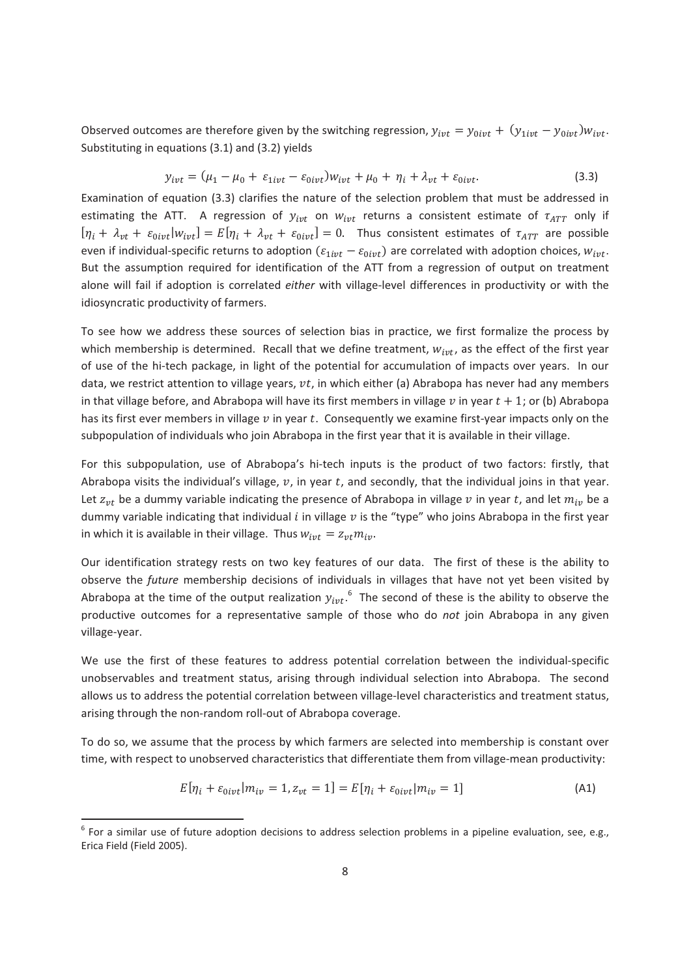Observed outcomes are therefore given by the switching regression,  $y_{ivt} = y_{0ivt} + (y_{1ivt} - y_{0ivt})w_{ivt}$ . Substituting in equations (3.1) and (3.2) yields

$$
y_{ivt} = (\mu_1 - \mu_0 + \varepsilon_{1ivt} - \varepsilon_{0ivt})w_{ivt} + \mu_0 + \eta_i + \lambda_{vt} + \varepsilon_{0ivt}.
$$
 (3.3)

Examination of equation (3.3) clarifies the nature of the selection problem that must be addressed in estimating the ATT. A regression of  $y_{ivt}$  on  $w_{ivt}$  returns a consistent estimate of  $\tau_{ATT}$  only if  $[\eta_i + \lambda_{vt} + \varepsilon_{0ivt} | w_{ivt}] = E[\eta_i + \lambda_{vt} + \varepsilon_{0ivt}] = 0$ . Thus consistent estimates of  $\tau_{ATT}$  are possible even if individual-specific returns to adoption  $(\varepsilon_{1ivt}-\varepsilon_{0ivt})$  are correlated with adoption choices,  $w_{ivt}$ . But the assumption required for identification of the ATT from a regression of output on treatment alone will fail if adoption is correlated either with village-level differences in productivity or with the idiosyncratic productivity of farmers.

To see how we address these sources of selection bias in practice, we first formalize the process by which membership is determined. Recall that we define treatment,  $w_{ivt}$ , as the effect of the first year of use of the hi-tech package, in light of the potential for accumulation of impacts over years. In our data, we restrict attention to village years,  $vt$ , in which either (a) Abrabopa has never had any members in that village before, and Abrabopa will have its first members in village  $v$  in year  $t + 1$ ; or (b) Abrabopa has its first ever members in village  $v$  in year  $t$ . Consequently we examine first-year impacts only on the subpopulation of individuals who join Abrabopa in the first year that it is available in their village.

For this subpopulation, use of Abrabopa's hi-tech inputs is the product of two factors: firstly, that Abrabopa visits the individual's village,  $v$ , in year  $t$ , and secondly, that the individual joins in that year. Let  $z_{vt}$  be a dummy variable indicating the presence of Abrabopa in village  $v$  in year t, and let  $m_{iv}$  be a dummy variable indicating that individual i in village  $v$  is the "type" who joins Abrabopa in the first year in which it is available in their village. Thus  $w_{ivt} = z_{vt}m_{iv}$ .

Our identification strategy rests on two key features of our data. The first of these is the ability to observe the future membership decisions of individuals in villages that have not yet been visited by Abrabopa at the time of the output realization  $y_{ivt}$ .<sup>6</sup> The second of these is the ability to observe the productive outcomes for a representative sample of those who do not join Abrabopa in any given village-year.

We use the first of these features to address potential correlation between the individual-specific unobservables and treatment status, arising through individual selection into Abrabopa. The second allows us to address the potential correlation between village-level characteristics and treatment status, arising through the non-random roll-out of Abrabopa coverage.

To do so, we assume that the process by which farmers are selected into membership is constant over time, with respect to unobserved characteristics that differentiate them from village-mean productivity:

$$
E[\eta_i + \varepsilon_{0ivt} | m_{iv} = 1, z_{vt} = 1] = E[\eta_i + \varepsilon_{0ivt} | m_{iv} = 1]
$$
\n(A1)

 $^6$  For a similar use of future adoption decisions to address selection problems in a pipeline evaluation, see, e.g., Erica Field (Field 2005).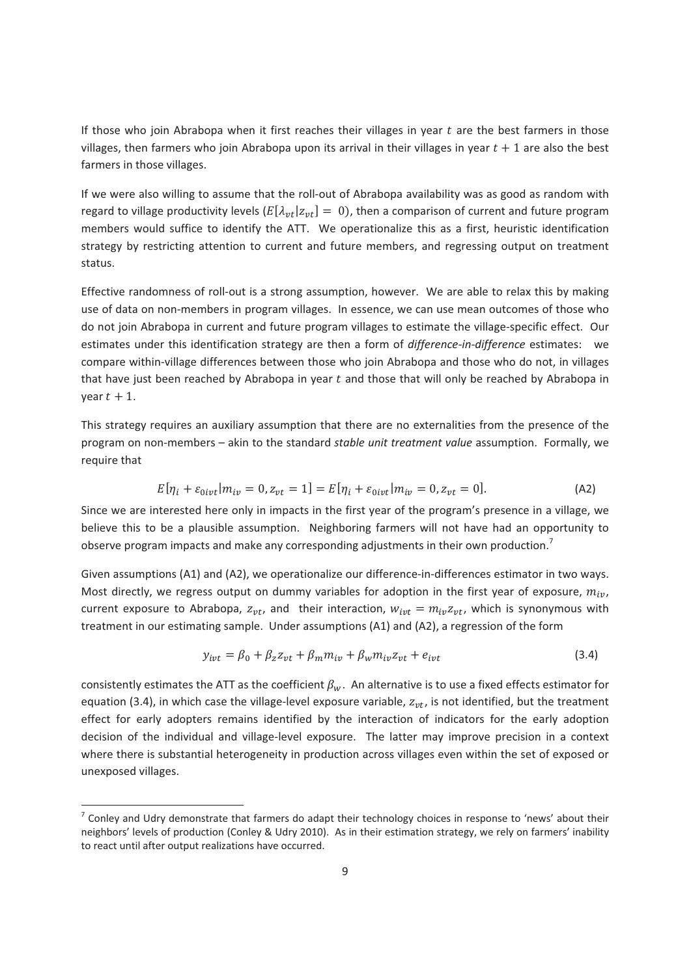If those who join Abrabopa when it first reaches their villages in year  $t$  are the best farmers in those villages, then farmers who join Abrabopa upon its arrival in their villages in year  $t+1$  are also the best farmers in those villages.

If we were also willing to assume that the roll-out of Abrabopa availability was as good as random with regard to village productivity levels ( $E[\lambda_{vt}|z_{vt}] = 0$ ), then a comparison of current and future program members would suffice to identify the ATT. We operationalize this as a first, heuristic identification strategy by restricting attention to current and future members, and regressing output on treatment status.

Effective randomness of roll-out is a strong assumption, however. We are able to relax this by making use of data on non-members in program villages. In essence, we can use mean outcomes of those who do not join Abrabopa in current and future program villages to estimate the village-specific effect. Our estimates under this identification strategy are then a form of difference-in-difference estimates: we compare within-village differences between those who join Abrabopa and those who do not, in villages that have just been reached by Abrabopa in year  $t$  and those that will only be reached by Abrabopa in year  $t+1$ .

This strategy requires an auxiliary assumption that there are no externalities from the presence of the program on non-members - akin to the standard stable unit treatment value assumption. Formally, we require that

$$
E[\eta_i + \varepsilon_{0ivt} | m_{iv} = 0, z_{vt} = 1] = E[\eta_i + \varepsilon_{0ivt} | m_{iv} = 0, z_{vt} = 0].
$$
 (A2)

Since we are interested here only in impacts in the first year of the program's presence in a village, we believe this to be a plausible assumption. Neighboring farmers will not have had an opportunity to observe program impacts and make any corresponding adjustments in their own production.<sup>7</sup>

Given assumptions (A1) and (A2), we operationalize our difference-in-differences estimator in two ways. Most directly, we regress output on dummy variables for adoption in the first year of exposure,  $m_{iv}$ , current exposure to Abrabopa,  $z_{vt}$ , and their interaction,  $w_{ivt} = m_{iv}z_{vt}$ , which is synonymous with treatment in our estimating sample. Under assumptions (A1) and (A2), a regression of the form

$$
y_{ivt} = \beta_0 + \beta_z z_{vt} + \beta_m m_{iv} + \beta_w m_{iv} z_{vt} + e_{ivt}
$$
\n
$$
(3.4)
$$

consistently estimates the ATT as the coefficient  $\beta_w$ . An alternative is to use a fixed effects estimator for equation (3.4), in which case the village-level exposure variable,  $z_{vt}$ , is not identified, but the treatment effect for early adopters remains identified by the interaction of indicators for the early adoption decision of the individual and village-level exposure. The latter may improve precision in a context where there is substantial heterogeneity in production across villages even within the set of exposed or unexposed villages.

<sup>&</sup>lt;sup>7</sup> Conley and Udry demonstrate that farmers do adapt their technology choices in response to 'news' about their neighbors' levels of production (Conley & Udry 2010). As in their estimation strategy, we rely on farmers' inability to react until after output realizations have occurred.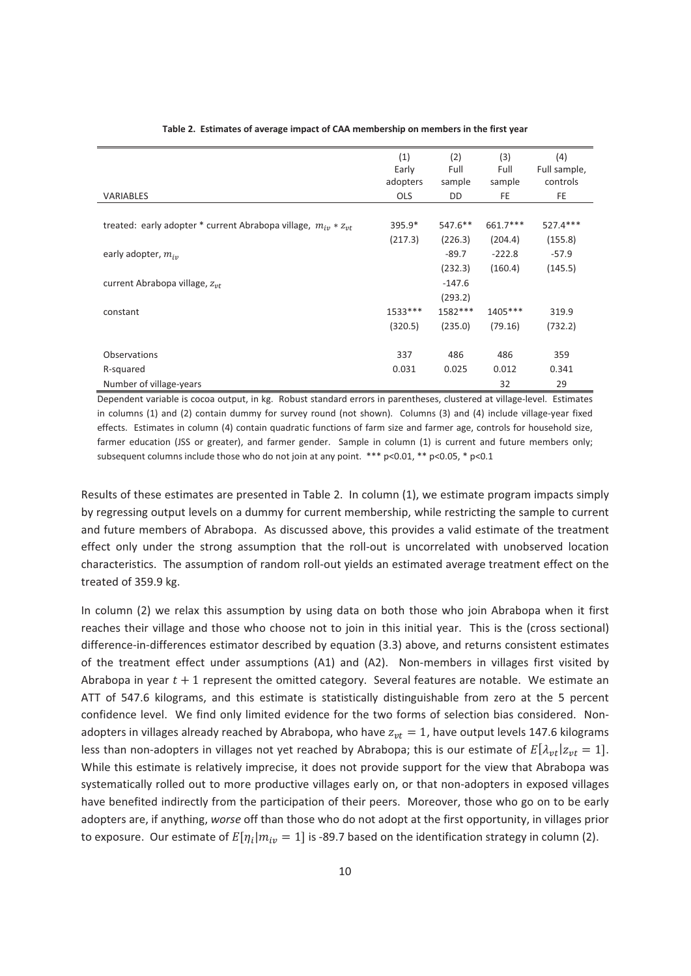|                                                                      | (1)        | (2)      | (3)       | (4)          |
|----------------------------------------------------------------------|------------|----------|-----------|--------------|
|                                                                      | Early      | Full     | Full      | Full sample, |
|                                                                      | adopters   | sample   | sample    | controls     |
| <b>VARIABLES</b>                                                     | <b>OLS</b> | DD.      | FE        | FE           |
|                                                                      |            |          |           |              |
| treated: early adopter * current Abrabopa village, $m_{iv} * z_{vt}$ | $395.9*$   | 547.6**  | 661.7***  | $527.4***$   |
|                                                                      | (217.3)    | (226.3)  | (204.4)   | (155.8)      |
| early adopter, $m_{iv}$                                              |            | $-89.7$  | $-222.8$  | -57.9        |
|                                                                      |            | (232.3)  | (160.4)   | (145.5)      |
| current Abrabopa village, Z <sub>vt</sub>                            |            | $-147.6$ |           |              |
|                                                                      |            | (293.2)  |           |              |
| constant                                                             | $1533***$  | 1582 *** | $1405***$ | 319.9        |
|                                                                      | (320.5)    | (235.0)  | (79.16)   | (732.2)      |
|                                                                      |            |          |           |              |
| Observations                                                         | 337        | 486      | 486       | 359          |
| R-squared                                                            | 0.031      | 0.025    | 0.012     | 0.341        |
| Number of village-years                                              |            |          | 32        | 29           |

Table 2. Estimates of average impact of CAA membership on members in the first year

Dependent variable is cocoa output, in kg. Robust standard errors in parentheses, clustered at village-level. Estimates in columns (1) and (2) contain dummy for survey round (not shown). Columns (3) and (4) include village-year fixed effects. Estimates in column (4) contain quadratic functions of farm size and farmer age, controls for household size, farmer education (JSS or greater), and farmer gender. Sample in column (1) is current and future members only; subsequent columns include those who do not join at any point.  $***$   $p<0.01$ ,  $**$   $p<0.05$ ,  $*$   $p<0.1$ 

Results of these estimates are presented in Table 2. In column (1), we estimate program impacts simply by regressing output levels on a dummy for current membership, while restricting the sample to current and future members of Abrabopa. As discussed above, this provides a valid estimate of the treatment effect only under the strong assumption that the roll-out is uncorrelated with unobserved location characteristics. The assumption of random roll-out yields an estimated average treatment effect on the treated of 359.9 kg.

In column (2) we relax this assumption by using data on both those who join Abrabopa when it first reaches their village and those who choose not to join in this initial year. This is the (cross sectional) difference-in-differences estimator described by equation (3.3) above, and returns consistent estimates of the treatment effect under assumptions (A1) and (A2). Non-members in villages first visited by Abrabopa in year  $t + 1$  represent the omitted category. Several features are notable. We estimate an ATT of 547.6 kilograms, and this estimate is statistically distinguishable from zero at the 5 percent confidence level. We find only limited evidence for the two forms of selection bias considered. Nonadopters in villages already reached by Abrabopa, who have  $z_{vt} = 1$ , have output levels 147.6 kilograms less than non-adopters in villages not yet reached by Abrabopa; this is our estimate of  $E[\lambda_{vt}|z_{vt}=1]$ . While this estimate is relatively imprecise, it does not provide support for the view that Abrabopa was systematically rolled out to more productive villages early on, or that non-adopters in exposed villages have benefited indirectly from the participation of their peers. Moreover, those who go on to be early adopters are, if anything, worse off than those who do not adopt at the first opportunity, in villages prior to exposure. Our estimate of  $E[\eta_i|m_{iv}=1]$  is -89.7 based on the identification strategy in column (2).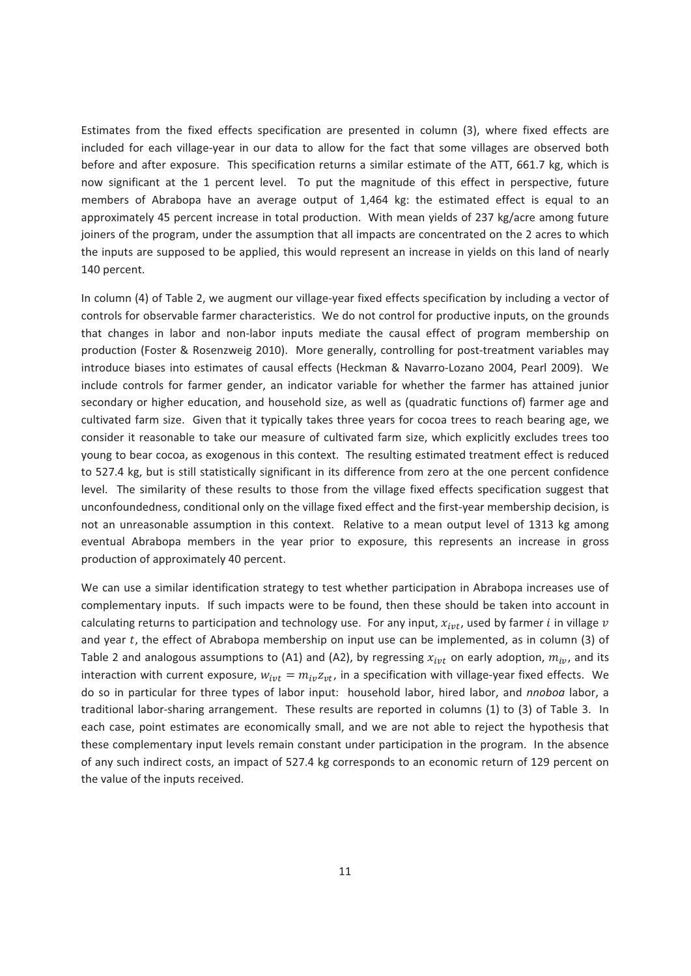Estimates from the fixed effects specification are presented in column (3), where fixed effects are included for each village-year in our data to allow for the fact that some villages are observed both before and after exposure. This specification returns a similar estimate of the ATT, 661.7 kg, which is now significant at the 1 percent level. To put the magnitude of this effect in perspective, future members of Abrabopa have an average output of 1,464 kg: the estimated effect is equal to an approximately 45 percent increase in total production. With mean yields of 237 kg/acre among future joiners of the program, under the assumption that all impacts are concentrated on the 2 acres to which the inputs are supposed to be applied, this would represent an increase in yields on this land of nearly 140 percent.

In column (4) of Table 2, we augment our village-year fixed effects specification by including a vector of controls for observable farmer characteristics. We do not control for productive inputs, on the grounds that changes in labor and non-labor inputs mediate the causal effect of program membership on production (Foster & Rosenzweig 2010). More generally, controlling for post-treatment variables may introduce biases into estimates of causal effects (Heckman & Navarro-Lozano 2004, Pearl 2009). We include controls for farmer gender, an indicator variable for whether the farmer has attained junior secondary or higher education, and household size, as well as (quadratic functions of) farmer age and cultivated farm size. Given that it typically takes three years for cocoa trees to reach bearing age, we consider it reasonable to take our measure of cultivated farm size, which explicitly excludes trees too young to bear cocoa, as exogenous in this context. The resulting estimated treatment effect is reduced to 527.4 kg, but is still statistically significant in its difference from zero at the one percent confidence level. The similarity of these results to those from the village fixed effects specification suggest that unconfoundedness, conditional only on the village fixed effect and the first-year membership decision, is not an unreasonable assumption in this context. Relative to a mean output level of 1313 kg among eventual Abrabopa members in the year prior to exposure, this represents an increase in gross production of approximately 40 percent.

We can use a similar identification strategy to test whether participation in Abrabopa increases use of complementary inputs. If such impacts were to be found, then these should be taken into account in calculating returns to participation and technology use. For any input,  $x_{ivt}$ , used by farmer  $i$  in village  $v$ and year  $t$ , the effect of Abrabopa membership on input use can be implemented, as in column (3) of Table 2 and analogous assumptions to (A1) and (A2), by regressing  $x_{ivt}$  on early adoption,  $m_{i\nu}$ , and its interaction with current exposure,  $w_{ivt} = m_{iv}z_{vt}$ , in a specification with village-year fixed effects. We do so in particular for three types of labor input: household labor, hired labor, and nnoboa labor, a traditional labor-sharing arrangement. These results are reported in columns (1) to (3) of Table 3. In each case, point estimates are economically small, and we are not able to reject the hypothesis that these complementary input levels remain constant under participation in the program. In the absence of any such indirect costs, an impact of 527.4 kg corresponds to an economic return of 129 percent on the value of the inputs received.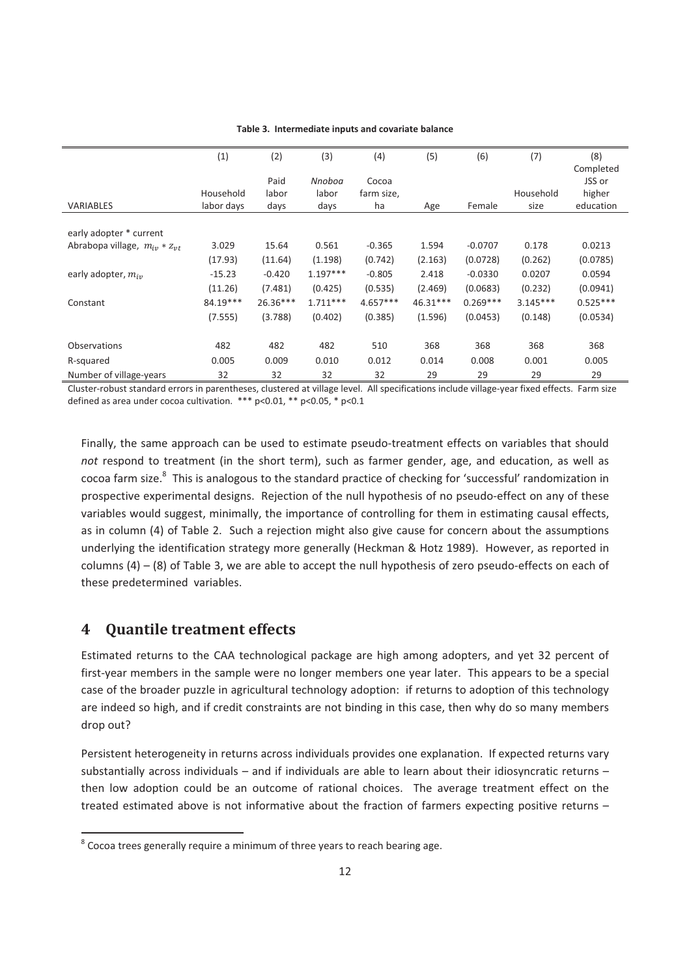|                                     | (1)        | (2)      | (3)        | (4)        | (5)        | (6)        | (7)        | (8)                 |
|-------------------------------------|------------|----------|------------|------------|------------|------------|------------|---------------------|
|                                     |            | Paid     | Nnoboa     | Cocoa      |            |            |            | Completed<br>JSS or |
|                                     | Household  | labor    | labor      | farm size, |            |            | Household  | higher              |
| <b>VARIABLES</b>                    | labor days | days     | days       | ha         | Age        | Female     | size       | education           |
|                                     |            |          |            |            |            |            |            |                     |
| early adopter * current             |            |          |            |            |            |            |            |                     |
| Abrabopa village, $m_{iv} * z_{vt}$ | 3.029      | 15.64    | 0.561      | $-0.365$   | 1.594      | $-0.0707$  | 0.178      | 0.0213              |
|                                     | (17.93)    | (11.64)  | (1.198)    | (0.742)    | (2.163)    | (0.0728)   | (0.262)    | (0.0785)            |
| early adopter, $m_{iv}$             | $-15.23$   | $-0.420$ | $1.197***$ | $-0.805$   | 2.418      | $-0.0330$  | 0.0207     | 0.0594              |
|                                     | (11.26)    | (7.481)  | (0.425)    | (0.535)    | (2.469)    | (0.0683)   | (0.232)    | (0.0941)            |
| Constant                            | 84.19 ***  | 26.36*** | $1.711***$ | $4.657***$ | $46.31***$ | $0.269***$ | $3.145***$ | $0.525***$          |
|                                     | (7.555)    | (3.788)  | (0.402)    | (0.385)    | (1.596)    | (0.0453)   | (0.148)    | (0.0534)            |
|                                     |            |          |            |            |            |            |            |                     |
| Observations                        | 482        | 482      | 482        | 510        | 368        | 368        | 368        | 368                 |
| R-squared                           | 0.005      | 0.009    | 0.010      | 0.012      | 0.014      | 0.008      | 0.001      | 0.005               |
| Number of village-years             | 32         | 32       | 32         | 32         | 29         | 29         | 29         | 29                  |

#### **Table 3. Intermediate inputs and covariate balance**

Cluster-robust standard errors in parentheses, clustered at village level. All specifications include village-year fixed effects. Farm size defined as area under cocoa cultivation.  $***$  p<0.01,  $**$  p<0.05,  $*$  p<0.1

Finally, the same approach can be used to estimate pseudo-treatment effects on variables that should not respond to treatment (in the short term), such as farmer gender, age, and education, as well as cocoa farm size.<sup>8</sup> This is analogous to the standard practice of checking for 'successful' randomization in prospective experimental designs. Rejection of the null hypothesis of no pseudo-effect on any of these variables would suggest, minimally, the importance of controlling for them in estimating causal effects, as in column (4) of Table 2. Such a rejection might also give cause for concern about the assumptions underlying the identification strategy more generally (Heckman & Hotz 1989). However, as reported in columns (4)  $-$  (8) of Table 3, we are able to accept the null hypothesis of zero pseudo-effects on each of these predetermined variables.

### 4 Quantile treatment effects

-----------------------------------------------------------

Estimated returns to the CAA technological package are high among adopters, and yet 32 percent of first-year members in the sample were no longer members one year later. This appears to be a special case of the broader puzzle in agricultural technology adoption: if returns to adoption of this technology are indeed so high, and if credit constraints are not binding in this case, then why do so many members drop out?

Persistent heterogeneity in returns across individuals provides one explanation. If expected returns vary substantially across individuals - and if individuals are able to learn about their idiosyncratic returns then low adoption could be an outcome of rational choices. The average treatment effect on the treated estimated above is not informative about the fraction of farmers expecting positive returns -

 $^8$  Cocoa trees generally require a minimum of three years to reach bearing age.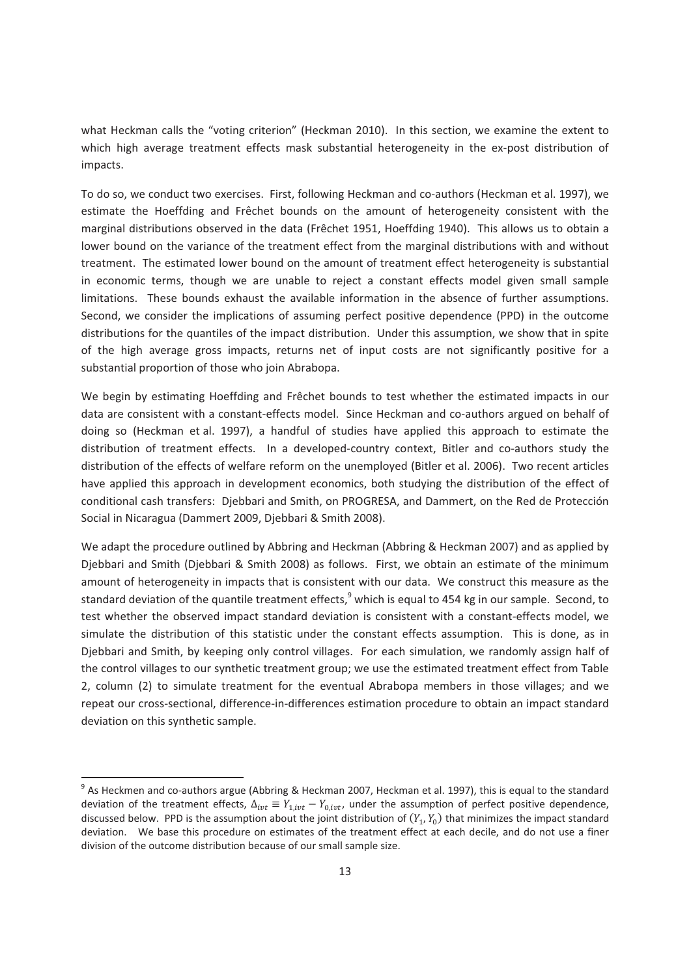what Heckman calls the "voting criterion" (Heckman 2010). In this section, we examine the extent to which high average treatment effects mask substantial heterogeneity in the ex-post distribution of impacts.

To do so, we conduct two exercises. First, following Heckman and co-authors (Heckman et al. 1997), we estimate the Hoeffding and Frêchet bounds on the amount of heterogeneity consistent with the marginal distributions observed in the data (Frêchet 1951, Hoeffding 1940). This allows us to obtain a lower bound on the variance of the treatment effect from the marginal distributions with and without treatment. The estimated lower bound on the amount of treatment effect heterogeneity is substantial in economic terms, though we are unable to reject a constant effects model given small sample limitations. These bounds exhaust the available information in the absence of further assumptions. Second, we consider the implications of assuming perfect positive dependence (PPD) in the outcome distributions for the quantiles of the impact distribution. Under this assumption, we show that in spite of the high average gross impacts, returns net of input costs are not significantly positive for a substantial proportion of those who join Abrabopa.

We begin by estimating Hoeffding and Frêchet bounds to test whether the estimated impacts in our data are consistent with a constant-effects model. Since Heckman and co-authors argued on behalf of doing so (Heckman et al. 1997), a handful of studies have applied this approach to estimate the distribution of treatment effects. In a developed-country context, Bitler and co-authors study the distribution of the effects of welfare reform on the unemployed (Bitler et al. 2006). Two recent articles have applied this approach in development economics, both studying the distribution of the effect of conditional cash transfers: Djebbari and Smith, on PROGRESA, and Dammert, on the Red de Protección Social in Nicaragua (Dammert 2009, Djebbari & Smith 2008).

We adapt the procedure outlined by Abbring and Heckman (Abbring & Heckman 2007) and as applied by Djebbari and Smith (Djebbari & Smith 2008) as follows. First, we obtain an estimate of the minimum amount of heterogeneity in impacts that is consistent with our data. We construct this measure as the standard deviation of the quantile treatment effects,<sup>9</sup> which is equal to 454 kg in our sample. Second, to test whether the observed impact standard deviation is consistent with a constant-effects model, we simulate the distribution of this statistic under the constant effects assumption. This is done, as in Djebbari and Smith, by keeping only control villages. For each simulation, we randomly assign half of the control villages to our synthetic treatment group; we use the estimated treatment effect from Table 2, column (2) to simulate treatment for the eventual Abrabopa members in those villages; and we repeat our cross-sectional, difference-in-differences estimation procedure to obtain an impact standard deviation on this synthetic sample.

<sup>&</sup>lt;sup>9</sup> As Heckmen and co-authors argue (Abbring & Heckman 2007, Heckman et al. 1997), this is equal to the standard deviation of the treatment effects,  $\Delta_{ivt} \equiv Y_{1,ivt} - Y_{0,ivt}$ , under the assumption of perfect positive dependence, discussed below. PPD is the assumption about the joint distribution of  $(Y_1, Y_0)$  that minimizes the impact standard deviation. We base this procedure on estimates of the treatment effect at each decile, and do not use a finer division of the outcome distribution because of our small sample size.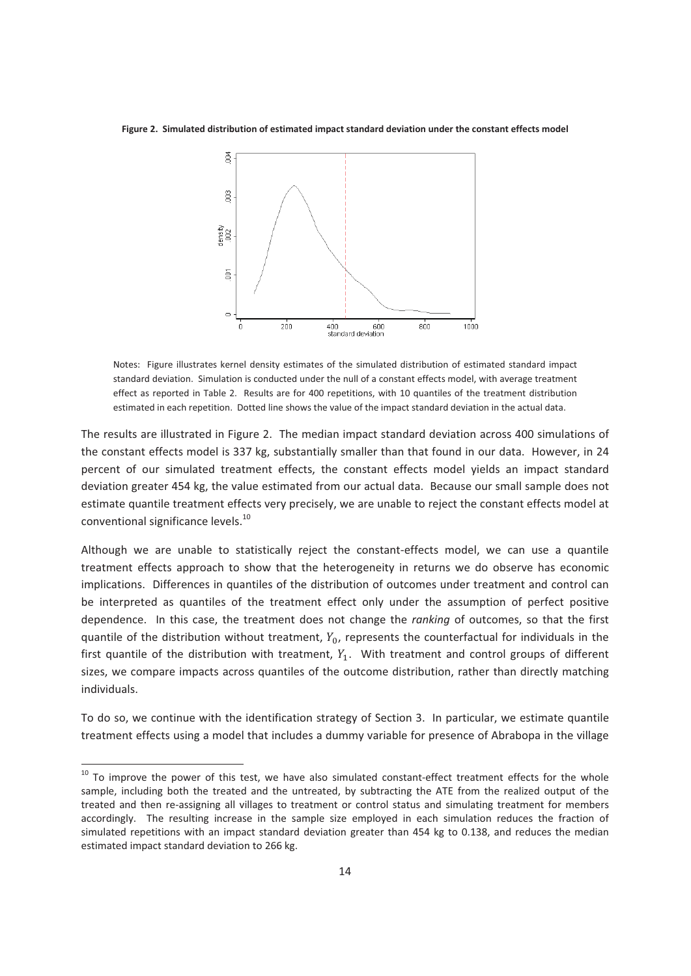Figure 2. Simulated distribution of estimated impact standard deviation under the constant effects model



Notes: Figure illustrates kernel density estimates of the simulated distribution of estimated standard impact standard deviation. Simulation is conducted under the null of a constant effects model, with average treatment effect as reported in Table 2. Results are for 400 repetitions, with 10 quantiles of the treatment distribution estimated in each repetition. Dotted line shows the value of the impact standard deviation in the actual data.

The results are illustrated in Figure 2. The median impact standard deviation across 400 simulations of the constant effects model is 337 kg, substantially smaller than that found in our data. However, in 24 percent of our simulated treatment effects, the constant effects model yields an impact standard deviation greater 454 kg, the value estimated from our actual data. Because our small sample does not estimate quantile treatment effects very precisely, we are unable to reject the constant effects model at conventional significance levels.<sup>10</sup>

Although we are unable to statistically reject the constant-effects model, we can use a quantile treatment effects approach to show that the heterogeneity in returns we do observe has economic implications. Differences in quantiles of the distribution of outcomes under treatment and control can be interpreted as quantiles of the treatment effect only under the assumption of perfect positive dependence. In this case, the treatment does not change the ranking of outcomes, so that the first quantile of the distribution without treatment,  $Y_0$ , represents the counterfactual for individuals in the first quantile of the distribution with treatment,  $Y_1$ . With treatment and control groups of different sizes, we compare impacts across quantiles of the outcome distribution, rather than directly matching individuals.

To do so, we continue with the identification strategy of Section 3. In particular, we estimate quantile treatment effects using a model that includes a dummy variable for presence of Abrabopa in the village

<sup>&</sup>lt;sup>10</sup> To improve the power of this test, we have also simulated constant-effect treatment effects for the whole sample, including both the treated and the untreated, by subtracting the ATE from the realized output of the treated and then re-assigning all villages to treatment or control status and simulating treatment for members accordingly. The resulting increase in the sample size employed in each simulation reduces the fraction of simulated repetitions with an impact standard deviation greater than 454 kg to 0.138, and reduces the median estimated impact standard deviation to 266 kg.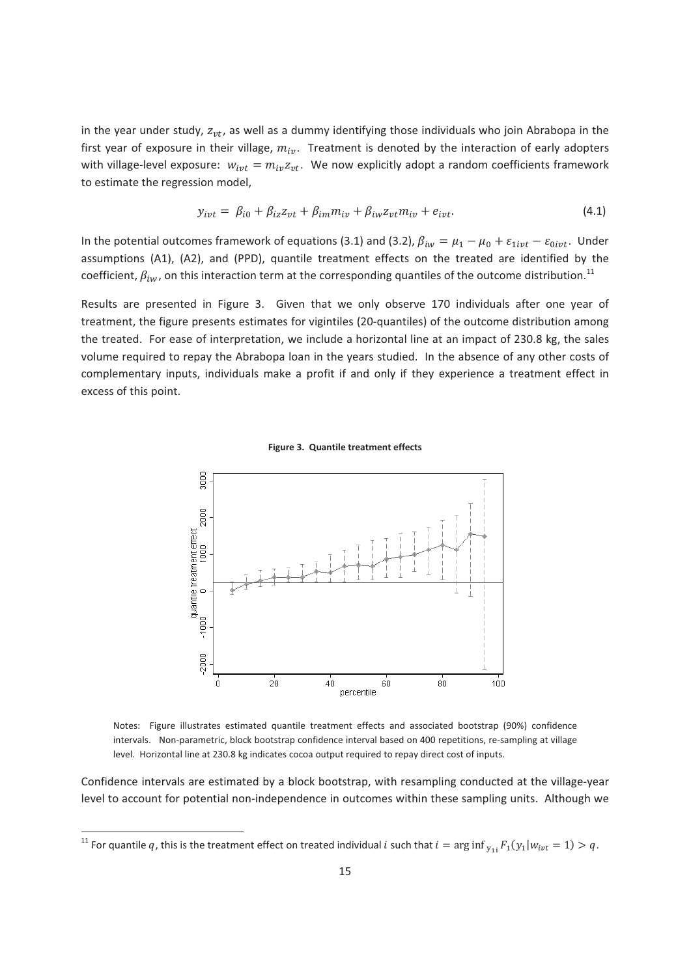in the year under study,  $z_{vt}$ , as well as a dummy identifying those individuals who join Abrabopa in the first year of exposure in their village,  $m_{iv}$ . Treatment is denoted by the interaction of early adopters with village-level exposure:  $w_{ivt} = m_{i\nu}z_{vt}$ . We now explicitly adopt a random coefficients framework to estimate the regression model,

$$
y_{ivt} = \beta_{i0} + \beta_{iz} z_{vt} + \beta_{im} m_{iv} + \beta_{iw} z_{vt} m_{iv} + e_{ivt}.
$$
\n(4.1)

In the potential outcomes framework of equations (3.1) and (3.2),  $\beta_{iw} = \mu_1 - \mu_0 + \varepsilon_{1ivt} - \varepsilon_{0ivt}$ . Under assumptions (A1), (A2), and (PPD), quantile treatment effects on the treated are identified by the coefficient,  $\beta_{iw}$ , on this interaction term at the corresponding quantiles of the outcome distribution. $^{11}$ 

Results are presented in Figure 3. Given that we only observe 170 individuals after one year of treatment, the figure presents estimates for vigintiles (20-quantiles) of the outcome distribution among the treated. For ease of interpretation, we include a horizontal line at an impact of 230.8 kg, the sales volume required to repay the Abrabopa loan in the years studied. In the absence of any other costs of complementary inputs, individuals make a profit if and only if they experience a treatment effect in excess of this point.





Notes: Figure illustrates estimated quantile treatment effects and associated bootstrap (90%) confidence intervals. Non-parametric, block bootstrap confidence interval based on 400 repetitions, re-sampling at village level. Horizontal line at 230.8 kg indicates cocoa output required to repay direct cost of inputs.

Confidence intervals are estimated by a block bootstrap, with resampling conducted at the village-year level to account for potential non-independence in outcomes within these sampling units. Although we

<sup>&</sup>lt;sup>11</sup> For quantile  $q$ , this is the treatment effect on treated individual  $i$  such that  $i = \arg\inf_{y_{1i}} F_1(y_1|w_{ivt} = 1) > q$ .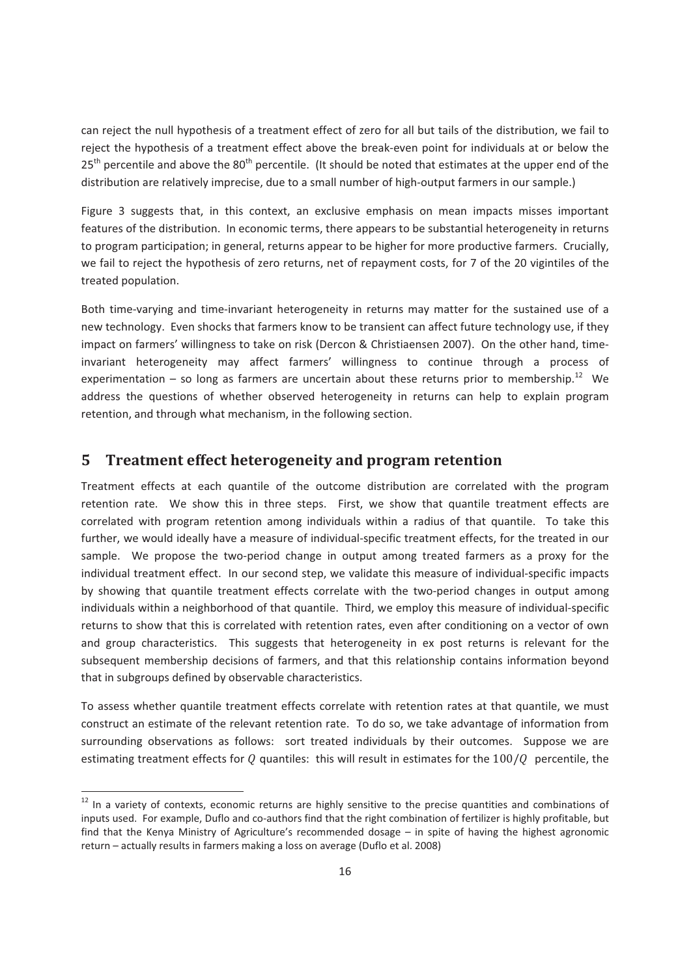can reject the null hypothesis of a treatment effect of zero for all but tails of the distribution, we fail to reject the hypothesis of a treatment effect above the break-even point for individuals at or below the 25<sup>th</sup> percentile and above the 80<sup>th</sup> percentile. (It should be noted that estimates at the upper end of the distribution are relatively imprecise, due to a small number of high-output farmers in our sample.)

Figure 3 suggests that, in this context, an exclusive emphasis on mean impacts misses important features of the distribution. In economic terms, there appears to be substantial heterogeneity in returns to program participation; in general, returns appear to be higher for more productive farmers. Crucially, we fail to reject the hypothesis of zero returns, net of repayment costs, for 7 of the 20 vigintiles of the treated population.

Both time-varying and time-invariant heterogeneity in returns may matter for the sustained use of a new technology. Even shocks that farmers know to be transient can affect future technology use, if they impact on farmers' willingness to take on risk (Dercon & Christiaensen 2007). On the other hand, timeinvariant heterogeneity may affect farmers' willingness to continue through a process of experimentation – so long as farmers are uncertain about these returns prior to membership.<sup>12</sup> We address the questions of whether observed heterogeneity in returns can help to explain program retention, and through what mechanism, in the following section.

### **5** Treatment effect heterogeneity and program retention

Treatment effects at each quantile of the outcome distribution are correlated with the program retention rate. We show this in three steps. First, we show that quantile treatment effects are correlated with program retention among individuals within a radius of that quantile. To take this further, we would ideally have a measure of individual-specific treatment effects, for the treated in our sample. We propose the two-period change in output among treated farmers as a proxy for the individual treatment effect. In our second step, we validate this measure of individual-specific impacts by showing that quantile treatment effects correlate with the two-period changes in output among individuals within a neighborhood of that quantile. Third, we employ this measure of individual-specific returns to show that this is correlated with retention rates, even after conditioning on a vector of own and group characteristics. This suggests that heterogeneity in ex post returns is relevant for the subsequent membership decisions of farmers, and that this relationship contains information beyond that in subgroups defined by observable characteristics.

To assess whether quantile treatment effects correlate with retention rates at that quantile, we must construct an estimate of the relevant retention rate. To do so, we take advantage of information from surrounding observations as follows: sort treated individuals by their outcomes. Suppose we are estimating treatment effects for  $Q$  quantiles: this will result in estimates for the 100/ $Q$  percentile, the

 $12$  In a variety of contexts, economic returns are highly sensitive to the precise quantities and combinations of inputs used. For example, Duflo and co-authors find that the right combination of fertilizer is highly profitable, but find that the Kenya Ministry of Agriculture's recommended dosage - in spite of having the highest agronomic return - actually results in farmers making a loss on average (Duflo et al. 2008)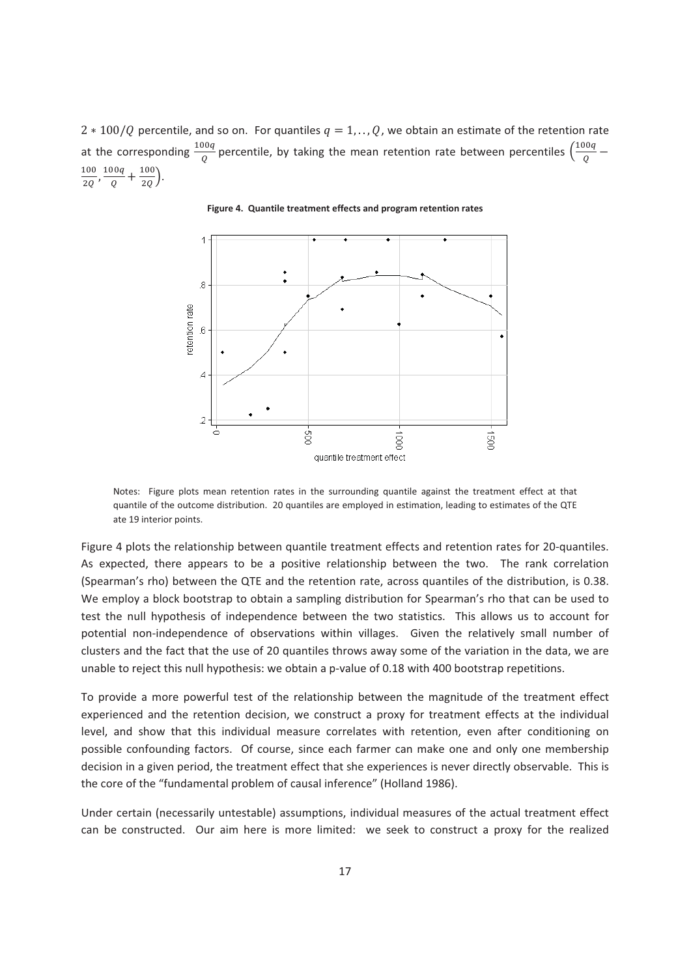$2 * 100/Q$  percentile, and so on. For quantiles  $q = 1, \ldots, Q$ , we obtain an estimate of the retention rate at the corresponding  $\frac{100q}{Q}$  percentile, by taking the mean retention rate between percentiles  $\left(\frac{100q}{Q}-\right)$  $\frac{100}{2Q}$ ,  $\frac{100q}{Q}$  $\frac{100}{Q} + \frac{100}{2Q}$ .



#### **Figure 4. Quantile treatment effects and program retention rates**

Notes: Figure plots mean retention rates in the surrounding quantile against the treatment effect at that quantile of the outcome distribution. 20 quantiles are employed in estimation, leading to estimates of the QTE ate 19 interior points.

Figure 4 plots the relationship between quantile treatment effects and retention rates for 20-quantiles. As expected, there appears to be a positive relationship between the two. The rank correlation (Spearman's rho) between the QTE and the retention rate, across quantiles of the distribution, is 0.38. We employ a block bootstrap to obtain a sampling distribution for Spearman's rho that can be used to test the null hypothesis of independence between the two statistics. This allows us to account for potential non-independence of observations within villages. Given the relatively small number of clusters and the fact that the use of 20 quantiles throws away some of the variation in the data, we are unable to reject this null hypothesis: we obtain a p-value of 0.18 with 400 bootstrap repetitions.

To provide a more powerful test of the relationship between the magnitude of the treatment effect experienced and the retention decision, we construct a proxy for treatment effects at the individual level, and show that this individual measure correlates with retention, even after conditioning on possible confounding factors. Of course, since each farmer can make one and only one membership decision in a given period, the treatment effect that she experiences is never directly observable. This is the core of the "fundamental problem of causal inference" (Holland 1986).

Under certain (necessarily untestable) assumptions, individual measures of the actual treatment effect can be constructed. Our aim here is more limited: we seek to construct a proxy for the realized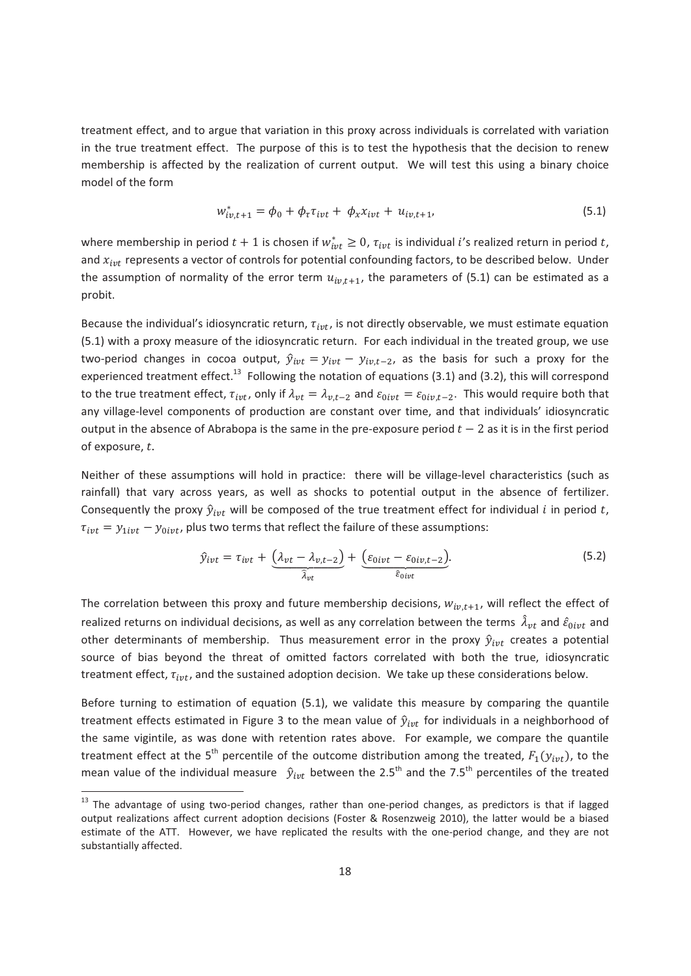treatment effect, and to argue that variation in this proxy across individuals is correlated with variation in the true treatment effect. The purpose of this is to test the hypothesis that the decision to renew membership is affected by the realization of current output. We will test this using a binary choice model of the form

$$
w_{iv,t+1}^* = \phi_0 + \phi_\tau \tau_{ivt} + \phi_x x_{ivt} + u_{iv,t+1},
$$
\n(5.1)

where membership in period  $t+1$  is chosen if  $w_{ivt}^* \geq 0$ ,  $\tau_{ivt}$  is individual i's realized return in period t, and  $x_{ivt}$  represents a vector of controls for potential confounding factors, to be described below. Under the assumption of normality of the error term  $u_{iv,t+1}$ , the parameters of (5.1) can be estimated as a probit.

Because the individual's idiosyncratic return,  $\tau_{ivt}$ , is not directly observable, we must estimate equation (5.1) with a proxy measure of the idiosyncratic return. For each individual in the treated group, we use two-period changes in cocoa output,  $\hat{y}_{ivt} = y_{ivt} - y_{iv,t-2}$ , as the basis for such a proxy for the experienced treatment effect.<sup>13</sup> Following the notation of equations (3.1) and (3.2), this will correspond to the true treatment effect,  $\tau_{ivt}$ , only if  $\lambda_{vt}=\lambda_{v,t-2}$  and  $\varepsilon_{0ivt}=\varepsilon_{0iv,t-2}$ . This would require both that any village-level components of production are constant over time, and that individuals' idiosyncratic output in the absence of Abrabopa is the same in the pre-exposure period  $t-2$  as it is in the first period of exposure,  $t$ .

Neither of these assumptions will hold in practice: there will be village-level characteristics (such as rainfall) that vary across years, as well as shocks to potential output in the absence of fertilizer. Consequently the proxy  $\hat{y}_{ivt}$  will be composed of the true treatment effect for individual i in period t,  $\tau_{ivt} = y_{1ivt} - y_{0ivt}$ , plus two terms that reflect the failure of these assumptions:

$$
\hat{y}_{ivt} = \tau_{ivt} + \underbrace{(\lambda_{vt} - \lambda_{v,t-2})}_{\widehat{\lambda}_{vt}} + \underbrace{(\varepsilon_{0ivt} - \varepsilon_{0iv,t-2})}_{\widehat{\varepsilon}_{0ivt}}.
$$
\n(5.2)

The correlation between this proxy and future membership decisions,  $w_{iv,t+1}$ , will reflect the effect of realized returns on individual decisions, as well as any correlation between the terms  $\hat{\lambda}_{vt}$  and  $\hat{\varepsilon}_{0ivt}$  and other determinants of membership. Thus measurement error in the proxy  $\hat{y}_{ivt}$  creates a potential source of bias beyond the threat of omitted factors correlated with both the true, idiosyncratic treatment effect,  $\tau_{ivt}$ , and the sustained adoption decision. We take up these considerations below.

Before turning to estimation of equation (5.1), we validate this measure by comparing the quantile treatment effects estimated in Figure 3 to the mean value of  $\hat{y}_{ivt}$  for individuals in a neighborhood of the same vigintile, as was done with retention rates above. For example, we compare the quantile treatment effect at the 5<sup>th</sup> percentile of the outcome distribution among the treated,  $F_1(y_{ivt})$ , to the mean value of the individual measure  $\hat{y}_{ivt}$  between the 2.5<sup>th</sup> and the 7.5<sup>th</sup> percentiles of the treated

<sup>&</sup>lt;sup>13</sup> The advantage of using two-period changes, rather than one-period changes, as predictors is that if lagged output realizations affect current adoption decisions (Foster & Rosenzweig 2010), the latter would be a biased estimate of the ATT. However, we have replicated the results with the one-period change, and they are not substantially affected.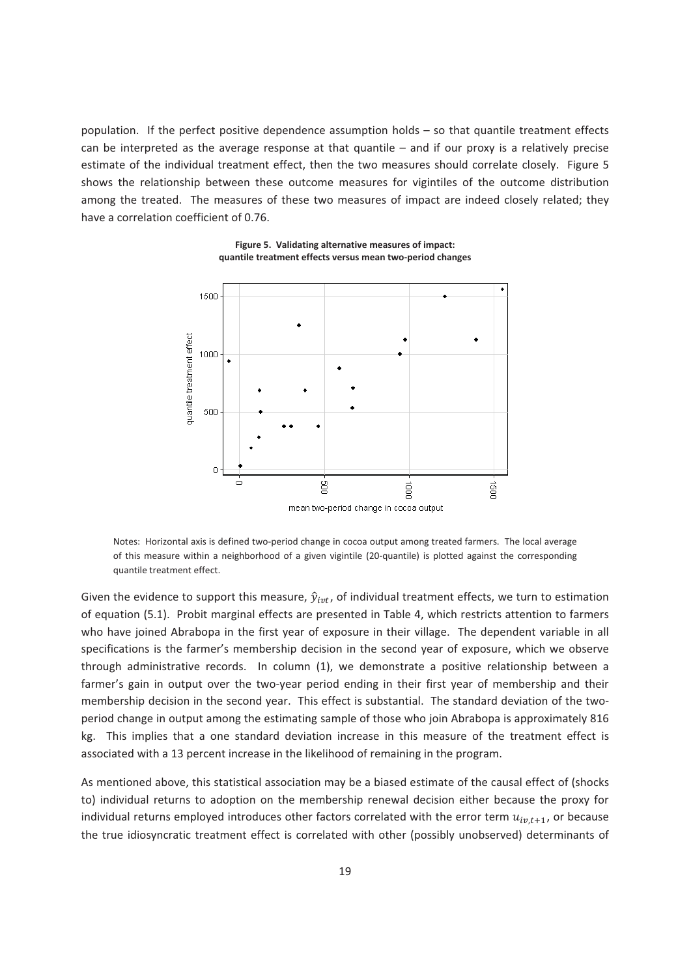population. If the perfect positive dependence assumption holds - so that quantile treatment effects can be interpreted as the average response at that quantile - and if our proxy is a relatively precise estimate of the individual treatment effect, then the two measures should correlate closely. Figure 5 shows the relationship between these outcome measures for vigintiles of the outcome distribution among the treated. The measures of these two measures of impact are indeed closely related; they have a correlation coefficient of 0.76.



**Figure 5. Validating alternative measures of impact: quantile treatment effects versus mean two-period changes** 

Notes: Horizontal axis is defined two-period change in cocoa output among treated farmers. The local average of this measure within a neighborhood of a given vigintile (20-quantile) is plotted against the corresponding quantile treatment effect.

Given the evidence to support this measure,  $\hat{y}_{ivt}$ , of individual treatment effects, we turn to estimation of equation (5.1). Probit marginal effects are presented in Table 4, which restricts attention to farmers who have joined Abrabopa in the first year of exposure in their village. The dependent variable in all specifications is the farmer's membership decision in the second year of exposure, which we observe through administrative records. In column (1), we demonstrate a positive relationship between a farmer's gain in output over the two-year period ending in their first year of membership and their membership decision in the second year. This effect is substantial. The standard deviation of the twoperiod change in output among the estimating sample of those who join Abrabopa is approximately 816 kg. This implies that a one standard deviation increase in this measure of the treatment effect is associated with a 13 percent increase in the likelihood of remaining in the program.

As mentioned above, this statistical association may be a biased estimate of the causal effect of (shocks to) individual returns to adoption on the membership renewal decision either because the proxy for individual returns employed introduces other factors correlated with the error term  $u_{iv,t+1}$ , or because the true idiosyncratic treatment effect is correlated with other (possibly unobserved) determinants of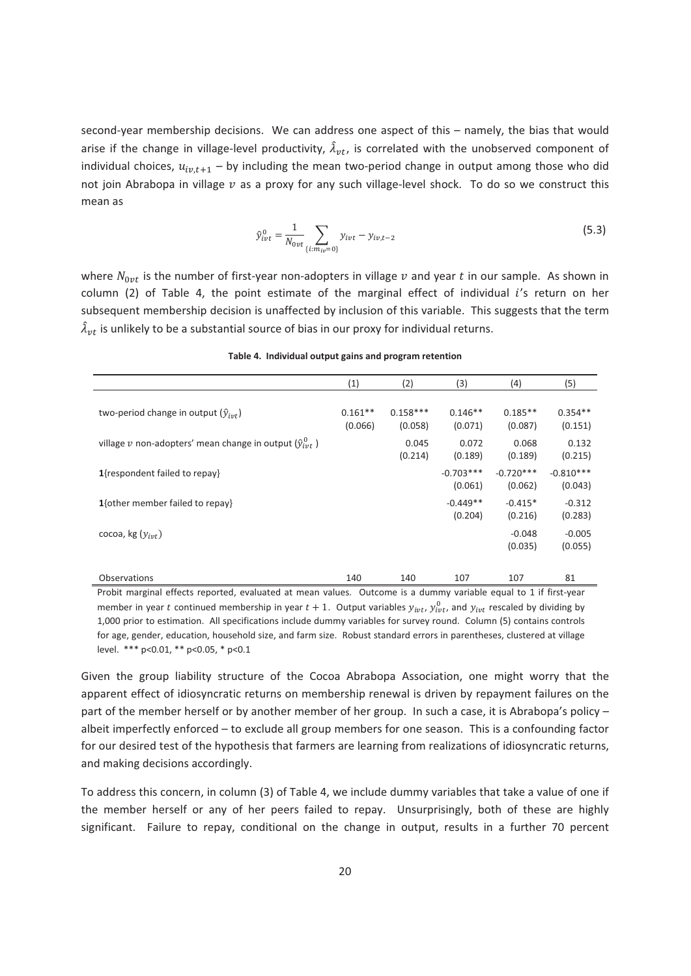second-year membership decisions. We can address one aspect of this - namely, the bias that would arise if the change in village-level productivity,  $\hat{\lambda}_{vt}$ , is correlated with the unobserved component of individual choices,  $u_{iv,t+1}$  – by including the mean two-period change in output among those who did not join Abrabopa in village  $v$  as a proxy for any such village-level shock. To do so we construct this mean-as-

$$
\hat{y}_{ivt}^{0} = \frac{1}{N_{0vt}} \sum_{\{i:m_{iv}=0\}} y_{ivt} - y_{iv,t-2}
$$
\n(5.3)

where  $N_{0vt}$  is the number of first-year non-adopters in village  $v$  and year  $t$  in our sample. As shown in column (2) of Table 4, the point estimate of the marginal effect of individual i's return on her subsequent membership decision is unaffected by inclusion of this variable. This suggests that the term  $\hat{\lambda}_{vt}$  is unlikely to be a substantial source of bias in our proxy for individual returns.

|                                                                   | (1)                  | (2)                   | (3)                    | (4)                    | (5)                    |
|-------------------------------------------------------------------|----------------------|-----------------------|------------------------|------------------------|------------------------|
| two-period change in output $(\hat{y}_{int})$                     | $0.161**$<br>(0.066) | $0.158***$<br>(0.058) | $0.146**$<br>(0.071)   | $0.185**$<br>(0.087)   | $0.354**$<br>(0.151)   |
| village v non-adopters' mean change in output $(\hat{v}_{int}^0)$ |                      | 0.045<br>(0.214)      | 0.072<br>(0.189)       | 0.068<br>(0.189)       | 0.132<br>(0.215)       |
| 1{respondent failed to repay}                                     |                      |                       | $-0.703***$<br>(0.061) | $-0.720***$<br>(0.062) | $-0.810***$<br>(0.043) |
| 1{other member failed to repay}                                   |                      |                       | $-0.449**$<br>(0.204)  | $-0.415*$<br>(0.216)   | $-0.312$<br>(0.283)    |
| cocoa, kg $(y_{ivt})$                                             |                      |                       |                        | $-0.048$<br>(0.035)    | $-0.005$<br>(0.055)    |
| Observations                                                      | 140                  | 140                   | 107                    | 107                    | 81                     |

| Table 4. Individual output gains and program retention |  |  |  |
|--------------------------------------------------------|--|--|--|
|--------------------------------------------------------|--|--|--|

Probit marginal effects reported, evaluated at mean values. Outcome is a dummy variable equal to 1 if first-year member in year t continued membership in year  $t+1$ . Output variables  $y_{ivt}$ ,  $y_{ivt}^0$ , and  $y_{ivt}$  rescaled by dividing by 1,000 prior to estimation. All specifications include dummy variables for survey round. Column (5) contains controls for age, gender, education, household size, and farm size. Robust standard errors in parentheses, clustered at village level. \*\*\* p<0.01, \*\* p<0.05, \* p<0.1

Given the group liability structure of the Cocoa Abrabopa Association, one might worry that the apparent effect of idiosyncratic returns on membership renewal is driven by repayment failures on the part of the member herself or by another member of her group. In such a case, it is Abrabopa's policy albeit imperfectly enforced - to exclude all group members for one season. This is a confounding factor for our desired test of the hypothesis that farmers are learning from realizations of idiosyncratic returns, and making decisions accordingly.

To address this concern, in column (3) of Table 4, we include dummy variables that take a value of one if the member herself or any of her peers failed to repay. Unsurprisingly, both of these are highly significant. Failure to repay, conditional on the change in output, results in a further 70 percent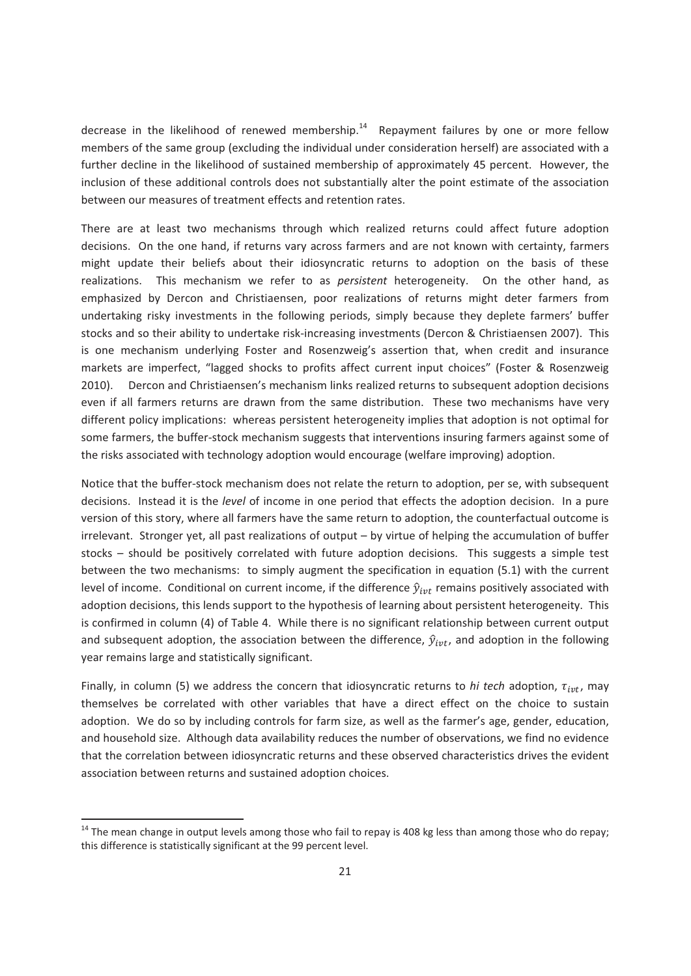decrease in the likelihood of renewed membership.<sup>14</sup> Repayment failures by one or more fellow members of the same group (excluding the individual under consideration herself) are associated with a further decline in the likelihood of sustained membership of approximately 45 percent. However, the inclusion of these additional controls does not substantially alter the point estimate of the association between our measures of treatment effects and retention rates.

There are at least two mechanisms through which realized returns could affect future adoption decisions. On the one hand, if returns vary across farmers and are not known with certainty, farmers might update their beliefs about their idiosyncratic returns to adoption on the basis of these realizations. This mechanism we refer to as *persistent* heterogeneity. On the other hand, as emphasized by Dercon and Christiaensen, poor realizations of returns might deter farmers from undertaking risky investments in the following periods, simply because they deplete farmers' buffer stocks and so their ability to undertake risk-increasing investments (Dercon & Christiaensen 2007). This is one mechanism underlying Foster and Rosenzweig's assertion that, when credit and insurance markets are imperfect, "lagged shocks to profits affect current input choices" (Foster & Rosenzweig  $2010$ ). Dercon and Christiaensen's mechanism links realized returns to subsequent adoption decisions even if all farmers returns are drawn from the same distribution. These two mechanisms have very different policy implications: whereas persistent heterogeneity implies that adoption is not optimal for some farmers, the buffer-stock mechanism suggests that interventions insuring farmers against some of the risks associated with technology adoption would encourage (welfare improving) adoption.

Notice that the buffer-stock mechanism does not relate the return to adoption, per se, with subsequent decisions. Instead it is the level of income in one period that effects the adoption decision. In a pure version of this story, where all farmers have the same return to adoption, the counterfactual outcome is irrelevant. Stronger yet, all past realizations of output - by virtue of helping the accumulation of buffer stocks - should be positively correlated with future adoption decisions. This suggests a simple test between the two mechanisms: to simply augment the specification in equation (5.1) with the current level of income. Conditional on current income, if the difference  $\hat{y}_{ivt}$  remains positively associated with adoption decisions, this lends support to the hypothesis of learning about persistent heterogeneity. This is confirmed in column (4) of Table 4. While there is no significant relationship between current output and subsequent adoption, the association between the difference,  $\hat{y}_{ivt}$ , and adoption in the following year remains large and statistically significant.

Finally, in column (5) we address the concern that idiosyncratic returns to hi tech adoption,  $\tau_{ivt}$ , may themselves be correlated with other variables that have a direct effect on the choice to sustain adoption. We do so by including controls for farm size, as well as the farmer's age, gender, education, and household size. Although data availability reduces the number of observations, we find no evidence that the correlation between idiosyncratic returns and these observed characteristics drives the evident association between returns and sustained adoption choices.

 $^{14}$  The mean change in output levels among those who fail to repay is 408 kg less than among those who do repay; this difference is statistically significant at the 99 percent level.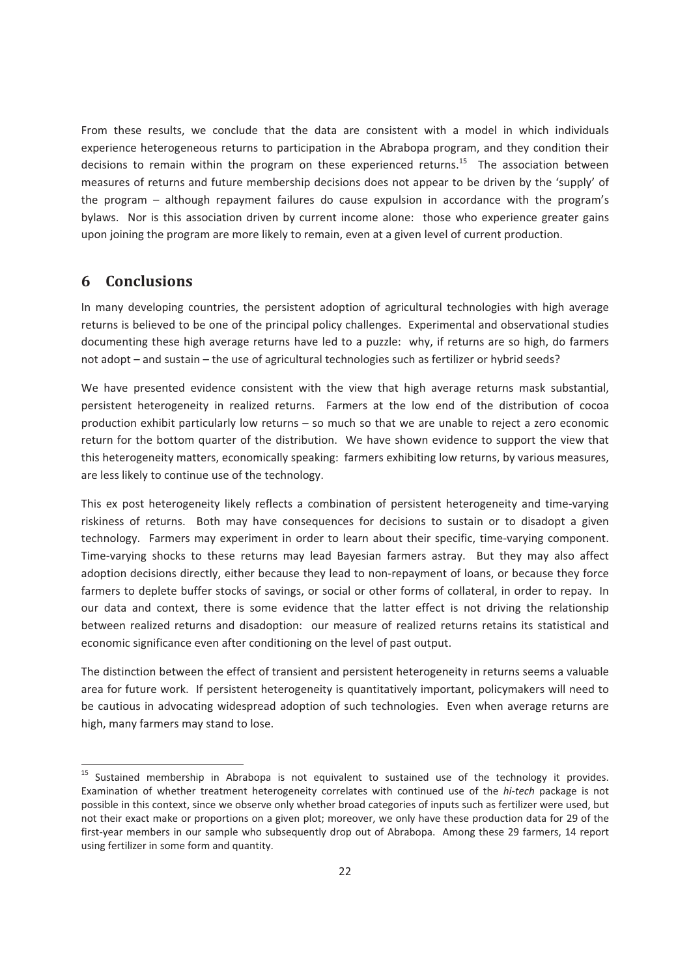From these results, we conclude that the data are consistent with a model in which individuals experience heterogeneous returns to participation in the Abrabopa program, and they condition their decisions to remain within the program on these experienced returns.<sup>15</sup> The association between measures of returns and future membership decisions does not appear to be driven by the 'supply' of the program - although repayment failures do cause expulsion in accordance with the program's bylaws. Nor is this association driven by current income alone: those who experience greater gains upon joining the program are more likely to remain, even at a given level of current production.

### **6 Conclusions-**

-----------------------------------------------------------

In many developing countries, the persistent adoption of agricultural technologies with high average returns is believed to be one of the principal policy challenges. Experimental and observational studies documenting these high average returns have led to a puzzle: why, if returns are so high, do farmers not adopt - and sustain - the use of agricultural technologies such as fertilizer or hybrid seeds?

We have presented evidence consistent with the view that high average returns mask substantial, persistent heterogeneity in realized returns. Farmers at the low end of the distribution of cocoa production exhibit particularly low returns - so much so that we are unable to reject a zero economic return for the bottom quarter of the distribution. We have shown evidence to support the view that this heterogeneity matters, economically speaking: farmers exhibiting low returns, by various measures, are less likely to continue use of the technology.

This ex post heterogeneity likely reflects a combination of persistent heterogeneity and time-varying riskiness of returns. Both may have consequences for decisions to sustain or to disadopt a given technology. Farmers may experiment in order to learn about their specific, time-varying component. Time-varying shocks to these returns may lead Bayesian farmers astray. But they may also affect adoption decisions directly, either because they lead to non-repayment of loans, or because they force farmers to deplete buffer stocks of savings, or social or other forms of collateral, in order to repay. In our data and context, there is some evidence that the latter effect is not driving the relationship between realized returns and disadoption: our measure of realized returns retains its statistical and economic significance even after conditioning on the level of past output.

The distinction between the effect of transient and persistent heterogeneity in returns seems a valuable area for future work. If persistent heterogeneity is quantitatively important, policymakers will need to be cautious in advocating widespread adoption of such technologies. Even when average returns are high, many farmers may stand to lose.

<sup>&</sup>lt;sup>15</sup> Sustained membership in Abrabopa is not equivalent to sustained use of the technology it provides. Examination of whether treatment heterogeneity correlates with continued use of the hi-tech package is not possible in this context, since we observe only whether broad categories of inputs such as fertilizer were used, but not their exact make or proportions on a given plot; moreover, we only have these production data for 29 of the first-year members in our sample who subsequently drop out of Abrabopa. Among these 29 farmers, 14 report using fertilizer in some form and quantity.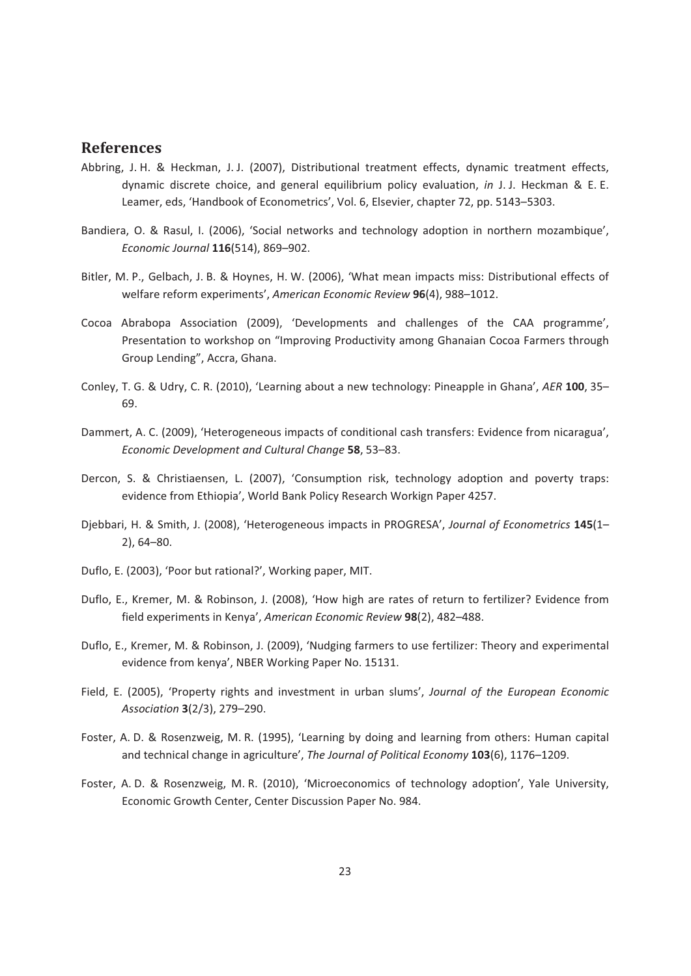#### **References-**

- Abbring, J. H. & Heckman, J. J. (2007), Distributional treatment effects, dynamic treatment effects, dynamic discrete choice, and general equilibrium policy evaluation, in J.J. Heckman & E. E. Leamer, eds, 'Handbook of Econometrics', Vol. 6, Elsevier, chapter 72, pp. 5143-5303.
- Bandiera, O. & Rasul, I. (2006), 'Social networks and technology adoption in northern mozambique', Economic Journal **116**(514), 869-902.
- Bitler, M. P., Gelbach, J. B. & Hoynes, H. W. (2006), 'What mean impacts miss: Distributional effects of welfare reform experiments', American Economic Review 96(4), 988-1012.
- Cocoa Abrabopa Association (2009), 'Developments and challenges of the CAA programme', Presentation to workshop on "Improving Productivity among Ghanaian Cocoa Farmers through Group Lending", Accra, Ghana.
- Conley, T. G. & Udry, C. R. (2010), 'Learning about a new technology: Pineapple in Ghana', AER 100, 35-69.-
- Dammert, A. C. (2009), 'Heterogeneous impacts of conditional cash transfers: Evidence from nicaragua', Economic Development and Cultural Change 58, 53-83.
- Dercon, S. & Christiaensen, L. (2007), 'Consumption risk, technology adoption and poverty traps: evidence from Ethiopia', World Bank Policy Research Workign Paper 4257.
- Djebbari, H. & Smith, J. (2008), 'Heterogeneous impacts in PROGRESA', Journal of Econometrics 145(1-2), 64–80.
- Duflo, E. (2003), 'Poor but rational?', Working paper, MIT.
- Duflo, E., Kremer, M. & Robinson, J. (2008), 'How high are rates of return to fertilizer? Evidence from field experiments in Kenya', American Economic Review 98(2), 482-488.
- Duflo, E., Kremer, M. & Robinson, J. (2009), 'Nudging farmers to use fertilizer: Theory and experimental evidence from kenya', NBER Working Paper No. 15131.
- Field, E. (2005), 'Property rights and investment in urban slums', Journal of the European Economic Association **3**(2/3), 279–290.
- Foster, A. D. & Rosenzweig, M. R. (1995), 'Learning by doing and learning from others: Human capital and technical change in agriculture', The Journal of Political Economy 103(6), 1176-1209.
- Foster, A.D. & Rosenzweig, M.R. (2010), 'Microeconomics of technology adoption', Yale University, Economic Growth Center, Center Discussion Paper No. 984.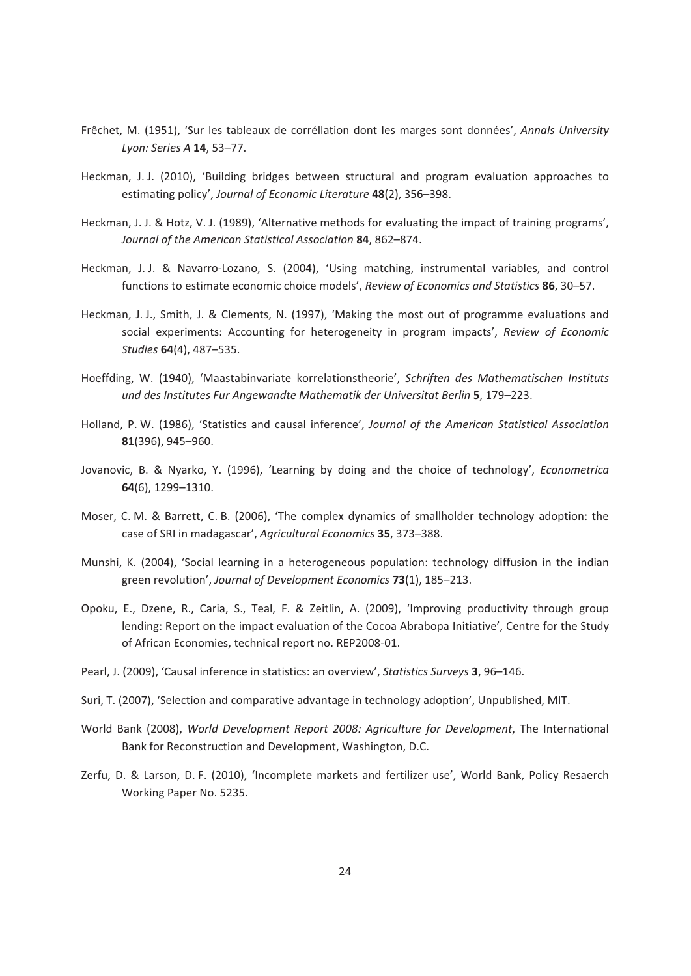- Frêchet, M. (1951), 'Sur les tableaux de corréllation dont les marges sont données', Annals University Lyon: Series A **14**, 53-77.
- Heckman, J.J. (2010), 'Building bridges between structural and program evaluation approaches to estimating policy', Journal of Economic Literature 48(2), 356-398.
- Heckman, J. J. & Hotz, V. J. (1989), 'Alternative methods for evaluating the impact of training programs', Journal of the American Statistical Association 84, 862-874.
- Heckman, J.J. & Navarro-Lozano, S. (2004), 'Using matching, instrumental variables, and control functions to estimate economic choice models', Review of Economics and Statistics 86, 30-57.
- Heckman, J. J., Smith, J. & Clements, N. (1997), 'Making the most out of programme evaluations and social experiments: Accounting for heterogeneity in program impacts', Review of Economic Studies **64**(4), 487-535.
- Hoeffding, W. (1940), 'Maastabinvariate korrelationstheorie', Schriften des Mathematischen Instituts und des Institutes Fur Angewandte Mathematik der Universitat Berlin 5, 179-223.
- Holland, P. W. (1986), 'Statistics and causal inference', Journal of the American Statistical Association 81(396), 945–960.
- Jovanovic, B. & Nyarko, Y. (1996), 'Learning by doing and the choice of technology', *Econometrica* 64(6), 1299–1310.
- Moser, C. M. & Barrett, C. B. (2006), 'The complex dynamics of smallholder technology adoption: the case of SRI in madagascar', Agricultural Economics 35, 373-388.
- Munshi, K. (2004), 'Social learning in a heterogeneous population: technology diffusion in the indian green revolution', Journal of Development Economics 73(1), 185-213.
- Opoku, E., Dzene, R., Caria, S., Teal, F. & Zeitlin, A. (2009), 'Improving productivity through group lending: Report on the impact evaluation of the Cocoa Abrabopa Initiative', Centre for the Study of African Economies, technical report no. REP2008-01.
- Pearl, J. (2009), 'Causal inference in statistics: an overview', Statistics Surveys 3, 96-146.
- Suri, T. (2007), 'Selection and comparative advantage in technology adoption', Unpublished, MIT.
- World Bank (2008), World Development Report 2008: Agriculture for Development, The International Bank for Reconstruction and Development, Washington, D.C.
- Zerfu, D. & Larson, D. F. (2010), 'Incomplete markets and fertilizer use', World Bank, Policy Resaerch Working Paper No. 5235.